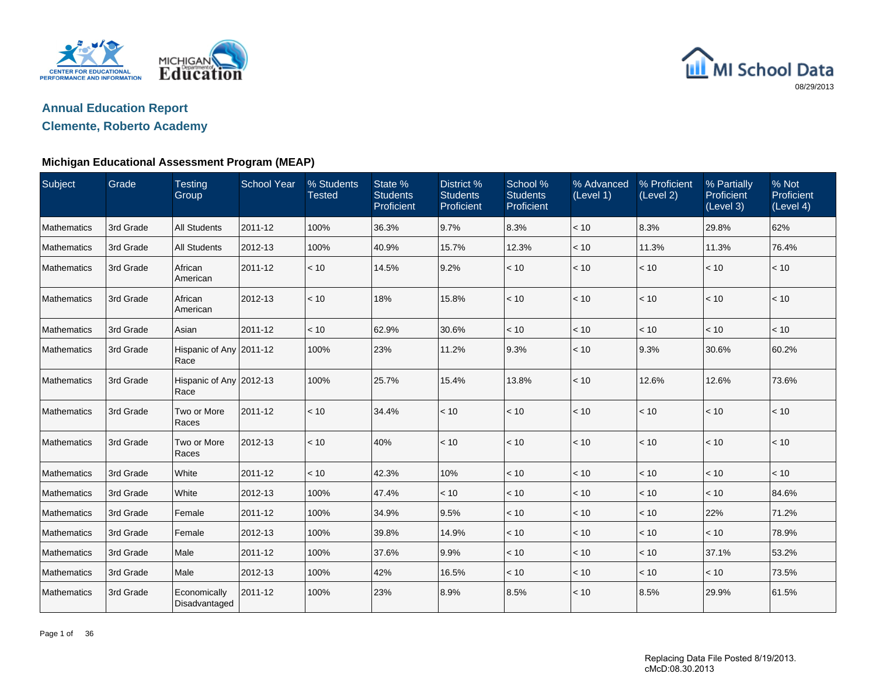



### **Clemente, Roberto Academy**

| Subject            | Grade     | <b>Testing</b><br>Group         | <b>School Year</b> | % Students<br><b>Tested</b> | State %<br><b>Students</b><br>Proficient | District %<br><b>Students</b><br>Proficient | School %<br><b>Students</b><br>Proficient | % Advanced<br>(Level 1) | % Proficient<br>(Level 2) | % Partially<br>Proficient<br>(Level 3) | % Not<br>Proficient<br>(Level 4) |
|--------------------|-----------|---------------------------------|--------------------|-----------------------------|------------------------------------------|---------------------------------------------|-------------------------------------------|-------------------------|---------------------------|----------------------------------------|----------------------------------|
| Mathematics        | 3rd Grade | <b>All Students</b>             | 2011-12            | 100%                        | 36.3%                                    | 9.7%                                        | 8.3%                                      | $<10$                   | 8.3%                      | 29.8%                                  | 62%                              |
| Mathematics        | 3rd Grade | <b>All Students</b>             | 2012-13            | 100%                        | 40.9%                                    | 15.7%                                       | 12.3%                                     | < 10                    | 11.3%                     | 11.3%                                  | 76.4%                            |
| Mathematics        | 3rd Grade | African<br>American             | 2011-12            | < 10                        | 14.5%                                    | 9.2%                                        | < 10                                      | < 10                    | < 10                      | < 10                                   | < 10                             |
| Mathematics        | 3rd Grade | African<br>American             | 2012-13            | < 10                        | 18%                                      | 15.8%                                       | < 10                                      | < 10                    | < 10                      | < 10                                   | < 10                             |
| Mathematics        | 3rd Grade | Asian                           | 2011-12            | < 10                        | 62.9%                                    | 30.6%                                       | < 10                                      | < 10                    | < 10                      | < 10                                   | < 10                             |
| Mathematics        | 3rd Grade | Hispanic of Any 2011-12<br>Race |                    | 100%                        | 23%                                      | 11.2%                                       | 9.3%                                      | < 10                    | 9.3%                      | 30.6%                                  | 60.2%                            |
| <b>Mathematics</b> | 3rd Grade | Hispanic of Any 2012-13<br>Race |                    | 100%                        | 25.7%                                    | 15.4%                                       | 13.8%                                     | < 10                    | 12.6%                     | 12.6%                                  | 73.6%                            |
| Mathematics        | 3rd Grade | Two or More<br>Races            | 2011-12            | < 10                        | 34.4%                                    | < 10                                        | < 10                                      | $<10$                   | < 10                      | < 10                                   | < 10                             |
| Mathematics        | 3rd Grade | Two or More<br>Races            | 2012-13            | < 10                        | 40%                                      | < 10                                        | < 10                                      | < 10                    | < 10                      | < 10                                   | < 10                             |
| Mathematics        | 3rd Grade | White                           | 2011-12            | < 10                        | 42.3%                                    | 10%                                         | < 10                                      | < 10                    | $<10$                     | < 10                                   | < 10                             |
| Mathematics        | 3rd Grade | White                           | 2012-13            | 100%                        | 47.4%                                    | < 10                                        | < 10                                      | < 10                    | < 10                      | < 10                                   | 84.6%                            |
| Mathematics        | 3rd Grade | Female                          | 2011-12            | 100%                        | 34.9%                                    | 9.5%                                        | < 10                                      | < 10                    | < 10                      | 22%                                    | 71.2%                            |
| Mathematics        | 3rd Grade | Female                          | 2012-13            | 100%                        | 39.8%                                    | 14.9%                                       | < 10                                      | < 10                    | < 10                      | < 10                                   | 78.9%                            |
| Mathematics        | 3rd Grade | Male                            | 2011-12            | 100%                        | 37.6%                                    | 9.9%                                        | < 10                                      | < 10                    | < 10                      | 37.1%                                  | 53.2%                            |
| Mathematics        | 3rd Grade | Male                            | 2012-13            | 100%                        | 42%                                      | 16.5%                                       | $<10$                                     | $<10$                   | < 10                      | < 10                                   | 73.5%                            |
| Mathematics        | 3rd Grade | Economically<br>Disadvantaged   | 2011-12            | 100%                        | 23%                                      | 8.9%                                        | 8.5%                                      | < 10                    | 8.5%                      | 29.9%                                  | 61.5%                            |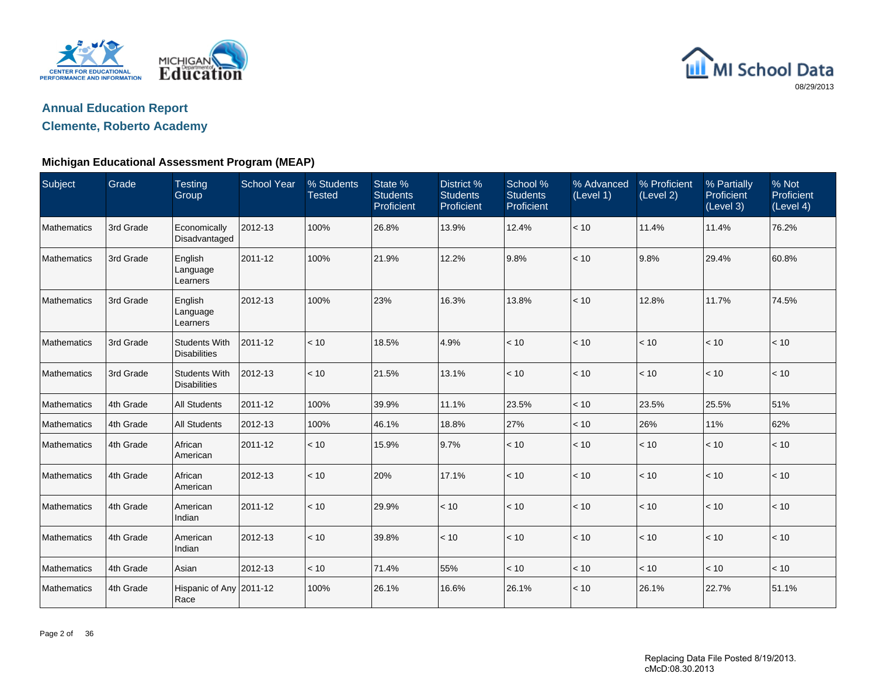



### **Clemente, Roberto Academy**

| Subject     | Grade     | <b>Testing</b><br>Group                     | <b>School Year</b> | % Students<br><b>Tested</b> | State %<br><b>Students</b><br>Proficient | District %<br><b>Students</b><br>Proficient | School %<br><b>Students</b><br>Proficient | % Advanced<br>(Level 1) | % Proficient<br>(Level 2) | % Partially<br>Proficient<br>(Level 3) | % Not<br>Proficient<br>(Level 4) |
|-------------|-----------|---------------------------------------------|--------------------|-----------------------------|------------------------------------------|---------------------------------------------|-------------------------------------------|-------------------------|---------------------------|----------------------------------------|----------------------------------|
| Mathematics | 3rd Grade | Economically<br>Disadvantaged               | 2012-13            | 100%                        | 26.8%                                    | 13.9%                                       | 12.4%                                     | < 10                    | 11.4%                     | 11.4%                                  | 76.2%                            |
| Mathematics | 3rd Grade | English<br>Language<br>Learners             | 2011-12            | 100%                        | 21.9%                                    | 12.2%                                       | 9.8%                                      | < 10                    | 9.8%                      | 29.4%                                  | 60.8%                            |
| Mathematics | 3rd Grade | English<br>Language<br>Learners             | 2012-13            | 100%                        | 23%                                      | 16.3%                                       | 13.8%                                     | < 10                    | 12.8%                     | 11.7%                                  | 74.5%                            |
| Mathematics | 3rd Grade | <b>Students With</b><br><b>Disabilities</b> | 2011-12            | < 10                        | 18.5%                                    | 4.9%                                        | < 10                                      | < 10                    | < 10                      | < 10                                   | < 10                             |
| Mathematics | 3rd Grade | <b>Students With</b><br><b>Disabilities</b> | 2012-13            | < 10                        | 21.5%                                    | 13.1%                                       | $<10$                                     | < 10                    | $<10$                     | < 10                                   | < 10                             |
| Mathematics | 4th Grade | <b>All Students</b>                         | 2011-12            | 100%                        | 39.9%                                    | 11.1%                                       | 23.5%                                     | < 10                    | 23.5%                     | 25.5%                                  | 51%                              |
| Mathematics | 4th Grade | <b>All Students</b>                         | 2012-13            | 100%                        | 46.1%                                    | 18.8%                                       | 27%                                       | < 10                    | 26%                       | 11%                                    | 62%                              |
| Mathematics | 4th Grade | African<br>American                         | 2011-12            | < 10                        | 15.9%                                    | 9.7%                                        | < 10                                      | < 10                    | < 10                      | < 10                                   | < 10                             |
| Mathematics | 4th Grade | African<br>American                         | 2012-13            | < 10                        | 20%                                      | 17.1%                                       | < 10                                      | < 10                    | $<10$                     | $<10$                                  | < 10                             |
| Mathematics | 4th Grade | American<br>Indian                          | 2011-12            | < 10                        | 29.9%                                    | < 10                                        | < 10                                      | < 10                    | < 10                      | < 10                                   | < 10                             |
| Mathematics | 4th Grade | American<br>Indian                          | 2012-13            | < 10                        | 39.8%                                    | < 10                                        | < 10                                      | < 10                    | < 10                      | < 10                                   | < 10                             |
| Mathematics | 4th Grade | Asian                                       | 2012-13            | < 10                        | 71.4%                                    | 55%                                         | < 10                                      | < 10                    | < 10                      | < 10                                   | < 10                             |
| Mathematics | 4th Grade | Hispanic of Any 2011-12<br>Race             |                    | 100%                        | 26.1%                                    | 16.6%                                       | 26.1%                                     | < 10                    | 26.1%                     | 22.7%                                  | 51.1%                            |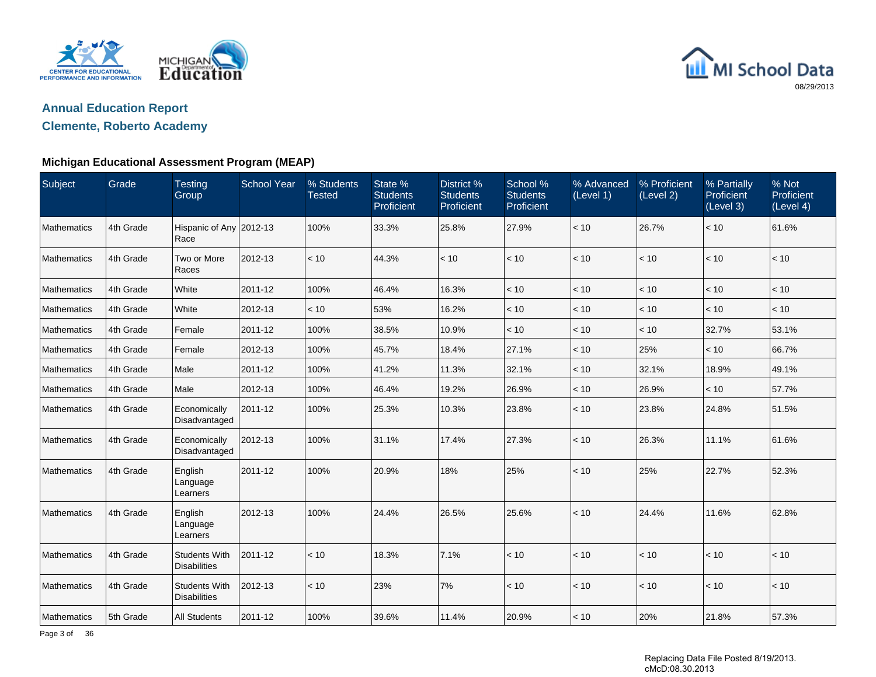



### **Clemente, Roberto Academy**

| Subject            | Grade     | <b>Testing</b><br>Group                     | <b>School Year</b> | % Students<br><b>Tested</b> | State %<br><b>Students</b><br>Proficient | District %<br><b>Students</b><br>Proficient | School %<br><b>Students</b><br>Proficient | % Advanced<br>(Level 1) | % Proficient<br>(Level 2) | % Partially<br>Proficient<br>(Level 3) | % Not<br>Proficient<br>(Eevel <sub>4</sub> ) |
|--------------------|-----------|---------------------------------------------|--------------------|-----------------------------|------------------------------------------|---------------------------------------------|-------------------------------------------|-------------------------|---------------------------|----------------------------------------|----------------------------------------------|
| Mathematics        | 4th Grade | Hispanic of Any 2012-13<br>Race             |                    | 100%                        | 33.3%                                    | 25.8%                                       | 27.9%                                     | < 10                    | 26.7%                     | < 10                                   | 61.6%                                        |
| Mathematics        | 4th Grade | Two or More<br>Races                        | 2012-13            | < 10                        | 44.3%                                    | < 10                                        | < 10                                      | < 10                    | < 10                      | < 10                                   | < 10                                         |
| Mathematics        | 4th Grade | White                                       | 2011-12            | 100%                        | 46.4%                                    | 16.3%                                       | < 10                                      | < 10                    | < 10                      | < 10                                   | < 10                                         |
| Mathematics        | 4th Grade | White                                       | 2012-13            | < 10                        | 53%                                      | 16.2%                                       | < 10                                      | < 10                    | < 10                      | < 10                                   | < 10                                         |
| Mathematics        | 4th Grade | Female                                      | 2011-12            | 100%                        | 38.5%                                    | 10.9%                                       | $<10$                                     | < 10                    | < 10                      | 32.7%                                  | 53.1%                                        |
| Mathematics        | 4th Grade | Female                                      | 2012-13            | 100%                        | 45.7%                                    | 18.4%                                       | 27.1%                                     | < 10                    | 25%                       | < 10                                   | 66.7%                                        |
| Mathematics        | 4th Grade | Male                                        | 2011-12            | 100%                        | 41.2%                                    | 11.3%                                       | 32.1%                                     | < 10                    | 32.1%                     | 18.9%                                  | 49.1%                                        |
| Mathematics        | 4th Grade | Male                                        | 2012-13            | 100%                        | 46.4%                                    | 19.2%                                       | 26.9%                                     | < 10                    | 26.9%                     | < 10                                   | 57.7%                                        |
| <b>Mathematics</b> | 4th Grade | Economically<br>Disadvantaged               | 2011-12            | 100%                        | 25.3%                                    | 10.3%                                       | 23.8%                                     | < 10                    | 23.8%                     | 24.8%                                  | 51.5%                                        |
| Mathematics        | 4th Grade | Economically<br>Disadvantaged               | 2012-13            | 100%                        | 31.1%                                    | 17.4%                                       | 27.3%                                     | < 10                    | 26.3%                     | 11.1%                                  | 61.6%                                        |
| <b>Mathematics</b> | 4th Grade | English<br>Language<br>Learners             | 2011-12            | 100%                        | 20.9%                                    | 18%                                         | 25%                                       | < 10                    | 25%                       | 22.7%                                  | 52.3%                                        |
| Mathematics        | 4th Grade | English<br>Language<br>Learners             | 2012-13            | 100%                        | 24.4%                                    | 26.5%                                       | 25.6%                                     | < 10                    | 24.4%                     | 11.6%                                  | 62.8%                                        |
| Mathematics        | 4th Grade | <b>Students With</b><br><b>Disabilities</b> | 2011-12            | < 10                        | 18.3%                                    | 7.1%                                        | < 10                                      | < 10                    | < 10                      | < 10                                   | $<10$                                        |
| Mathematics        | 4th Grade | <b>Students With</b><br><b>Disabilities</b> | 2012-13            | < 10                        | 23%                                      | 7%                                          | < 10                                      | < 10                    | < 10                      | < 10                                   | < 10                                         |
| Mathematics        | 5th Grade | <b>All Students</b>                         | 2011-12            | 100%                        | 39.6%                                    | 11.4%                                       | 20.9%                                     | < 10                    | 20%                       | 21.8%                                  | 57.3%                                        |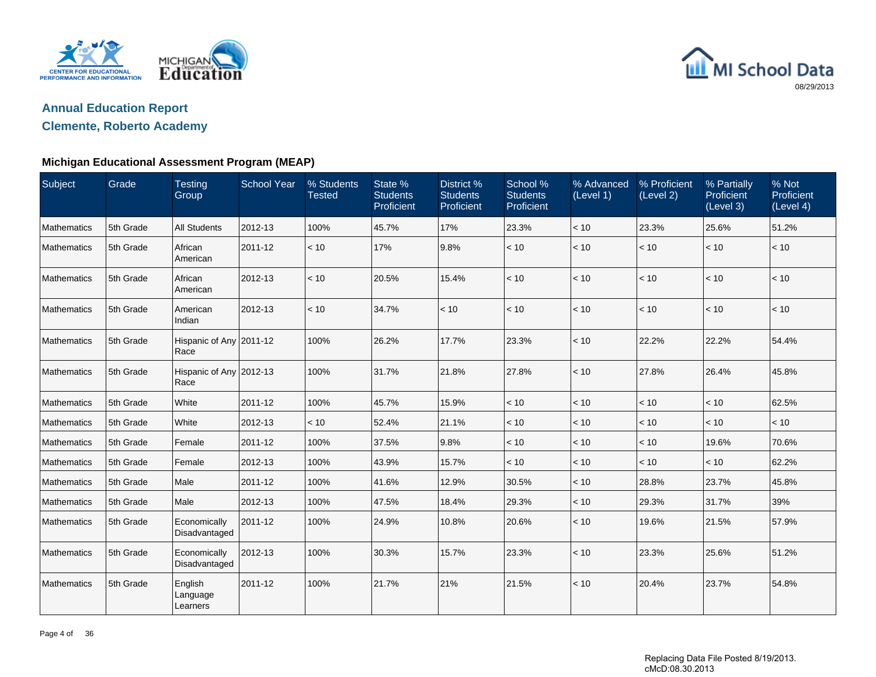



### **Clemente, Roberto Academy**

| Subject            | Grade     | <b>Testing</b><br>Group         | <b>School Year</b> | % Students<br><b>Tested</b> | State %<br><b>Students</b><br>Proficient | District %<br><b>Students</b><br>Proficient | School %<br><b>Students</b><br>Proficient | % Advanced<br>(Level 1) | % Proficient<br>(Level 2) | % Partially<br>Proficient<br>(Level 3) | % Not<br>Proficient<br>(Level 4) |
|--------------------|-----------|---------------------------------|--------------------|-----------------------------|------------------------------------------|---------------------------------------------|-------------------------------------------|-------------------------|---------------------------|----------------------------------------|----------------------------------|
| Mathematics        | 5th Grade | <b>All Students</b>             | 2012-13            | 100%                        | 45.7%                                    | 17%                                         | 23.3%                                     | < 10                    | 23.3%                     | 25.6%                                  | 51.2%                            |
| Mathematics        | 5th Grade | African<br>American             | 2011-12            | < 10                        | 17%                                      | 9.8%                                        | < 10                                      | < 10                    | < 10                      | $<10$                                  | < 10                             |
| Mathematics        | 5th Grade | African<br>American             | 2012-13            | < 10                        | 20.5%                                    | 15.4%                                       | < 10                                      | < 10                    | < 10                      | < 10                                   | < 10                             |
| Mathematics        | 5th Grade | American<br>Indian              | 2012-13            | < 10                        | 34.7%                                    | < 10                                        | < 10                                      | < 10                    | < 10                      | < 10                                   | < 10                             |
| Mathematics        | 5th Grade | Hispanic of Any 2011-12<br>Race |                    | 100%                        | 26.2%                                    | 17.7%                                       | 23.3%                                     | < 10                    | 22.2%                     | 22.2%                                  | 54.4%                            |
| Mathematics        | 5th Grade | Hispanic of Any 2012-13<br>Race |                    | 100%                        | 31.7%                                    | 21.8%                                       | 27.8%                                     | < 10                    | 27.8%                     | 26.4%                                  | 45.8%                            |
| Mathematics        | 5th Grade | White                           | 2011-12            | 100%                        | 45.7%                                    | 15.9%                                       | < 10                                      | < 10                    | < 10                      | < 10                                   | 62.5%                            |
| Mathematics        | 5th Grade | White                           | 2012-13            | < 10                        | 52.4%                                    | 21.1%                                       | < 10                                      | < 10                    | < 10                      | < 10                                   | < 10                             |
| Mathematics        | 5th Grade | Female                          | 2011-12            | 100%                        | 37.5%                                    | 9.8%                                        | < 10                                      | < 10                    | < 10                      | 19.6%                                  | 70.6%                            |
| Mathematics        | 5th Grade | Female                          | 2012-13            | 100%                        | 43.9%                                    | 15.7%                                       | < 10                                      | < 10                    | < 10                      | < 10                                   | 62.2%                            |
| <b>Mathematics</b> | 5th Grade | Male                            | 2011-12            | 100%                        | 41.6%                                    | 12.9%                                       | 30.5%                                     | < 10                    | 28.8%                     | 23.7%                                  | 45.8%                            |
| Mathematics        | 5th Grade | Male                            | 2012-13            | 100%                        | 47.5%                                    | 18.4%                                       | 29.3%                                     | < 10                    | 29.3%                     | 31.7%                                  | 39%                              |
| Mathematics        | 5th Grade | Economically<br>Disadvantaged   | 2011-12            | 100%                        | 24.9%                                    | 10.8%                                       | 20.6%                                     | < 10                    | 19.6%                     | 21.5%                                  | 57.9%                            |
| Mathematics        | 5th Grade | Economically<br>Disadvantaged   | 2012-13            | 100%                        | 30.3%                                    | 15.7%                                       | 23.3%                                     | < 10                    | 23.3%                     | 25.6%                                  | 51.2%                            |
| Mathematics        | 5th Grade | English<br>Language<br>Learners | 2011-12            | 100%                        | 21.7%                                    | 21%                                         | 21.5%                                     | < 10                    | 20.4%                     | 23.7%                                  | 54.8%                            |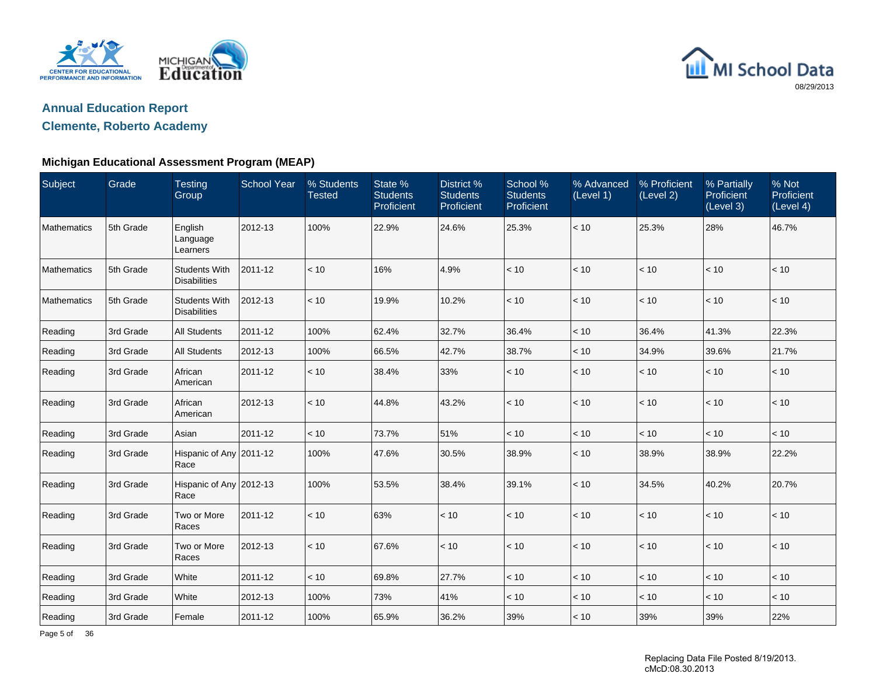



### **Clemente, Roberto Academy**

| Subject            | Grade     | <b>Testing</b><br>Group                     | <b>School Year</b> | % Students<br><b>Tested</b> | State %<br><b>Students</b><br>Proficient | <b>District %</b><br><b>Students</b><br>Proficient | School %<br><b>Students</b><br>Proficient | % Advanced<br>(Level 1) | % Proficient<br>(Level 2) | % Partially<br>Proficient<br>(Level 3) | % Not<br>Proficient<br>(Level 4) |
|--------------------|-----------|---------------------------------------------|--------------------|-----------------------------|------------------------------------------|----------------------------------------------------|-------------------------------------------|-------------------------|---------------------------|----------------------------------------|----------------------------------|
| Mathematics        | 5th Grade | English<br>Language<br>Learners             | 2012-13            | 100%                        | 22.9%                                    | 24.6%                                              | 25.3%                                     | $<10$                   | 25.3%                     | 28%                                    | 46.7%                            |
| <b>Mathematics</b> | 5th Grade | <b>Students With</b><br><b>Disabilities</b> | 2011-12            | < 10                        | 16%                                      | 4.9%                                               | < 10                                      | < 10                    | < 10                      | < 10                                   | < 10                             |
| Mathematics        | 5th Grade | <b>Students With</b><br><b>Disabilities</b> | 2012-13            | < 10                        | 19.9%                                    | 10.2%                                              | $<10$                                     | < 10                    | < 10                      | < 10                                   | < 10                             |
| Reading            | 3rd Grade | <b>All Students</b>                         | 2011-12            | 100%                        | 62.4%                                    | 32.7%                                              | 36.4%                                     | < 10                    | 36.4%                     | 41.3%                                  | 22.3%                            |
| Reading            | 3rd Grade | <b>All Students</b>                         | 2012-13            | 100%                        | 66.5%                                    | 42.7%                                              | 38.7%                                     | $<10$                   | 34.9%                     | 39.6%                                  | 21.7%                            |
| Reading            | 3rd Grade | African<br>American                         | 2011-12            | $<10$                       | 38.4%                                    | 33%                                                | < 10                                      | < 10                    | $<10$                     | < 10                                   | $<10$                            |
| Reading            | 3rd Grade | African<br>American                         | 2012-13            | < 10                        | 44.8%                                    | 43.2%                                              | < 10                                      | < 10                    | < 10                      | < 10                                   | < 10                             |
| Reading            | 3rd Grade | Asian                                       | 2011-12            | < 10                        | 73.7%                                    | 51%                                                | < 10                                      | < 10                    | < 10                      | < 10                                   | < 10                             |
| Reading            | 3rd Grade | Hispanic of Any 2011-12<br>Race             |                    | 100%                        | 47.6%                                    | 30.5%                                              | 38.9%                                     | < 10                    | 38.9%                     | 38.9%                                  | 22.2%                            |
| Reading            | 3rd Grade | Hispanic of Any 2012-13<br>Race             |                    | 100%                        | 53.5%                                    | 38.4%                                              | 39.1%                                     | < 10                    | 34.5%                     | 40.2%                                  | 20.7%                            |
| Reading            | 3rd Grade | Two or More<br>Races                        | 2011-12            | < 10                        | 63%                                      | < 10                                               | < 10                                      | < 10                    | < 10                      | < 10                                   | < 10                             |
| Reading            | 3rd Grade | Two or More<br>Races                        | 2012-13            | < 10                        | 67.6%                                    | < 10                                               | < 10                                      | < 10                    | < 10                      | < 10                                   | < 10                             |
| Reading            | 3rd Grade | White                                       | 2011-12            | < 10                        | 69.8%                                    | 27.7%                                              | < 10                                      | < 10                    | < 10                      | < 10                                   | < 10                             |
| Reading            | 3rd Grade | White                                       | 2012-13            | 100%                        | 73%                                      | 41%                                                | < 10                                      | < 10                    | < 10                      | < 10                                   | $<10$                            |
| Reading            | 3rd Grade | Female                                      | 2011-12            | 100%                        | 65.9%                                    | 36.2%                                              | 39%                                       | < 10                    | 39%                       | 39%                                    | 22%                              |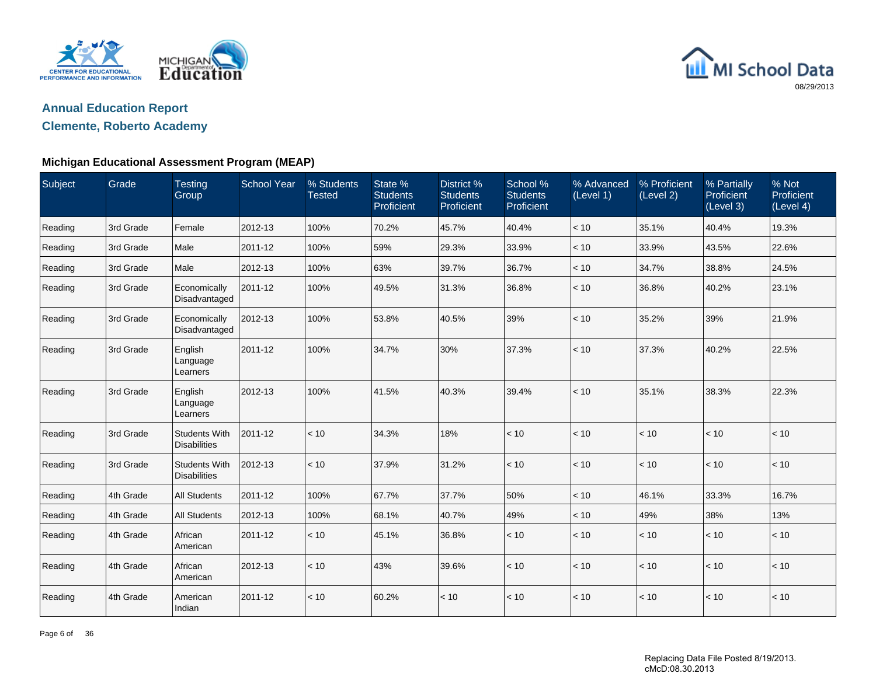



### **Clemente, Roberto Academy**

| Subject | Grade     | <b>Testing</b><br>Group                     | <b>School Year</b> | % Students<br>Tested | State %<br><b>Students</b><br>Proficient | District <sub>%</sub><br><b>Students</b><br>Proficient | School %<br><b>Students</b><br>Proficient | % Advanced<br>(Level 1) | % Proficient<br>(Level 2) | % Partially<br>Proficient<br>(Level 3) | % Not<br>Proficient<br>(Level 4) |
|---------|-----------|---------------------------------------------|--------------------|----------------------|------------------------------------------|--------------------------------------------------------|-------------------------------------------|-------------------------|---------------------------|----------------------------------------|----------------------------------|
| Reading | 3rd Grade | Female                                      | 2012-13            | 100%                 | 70.2%                                    | 45.7%                                                  | 40.4%                                     | < 10                    | 35.1%                     | 40.4%                                  | 19.3%                            |
| Reading | 3rd Grade | Male                                        | 2011-12            | 100%                 | 59%                                      | 29.3%                                                  | 33.9%                                     | < 10                    | 33.9%                     | 43.5%                                  | 22.6%                            |
| Reading | 3rd Grade | Male                                        | 2012-13            | 100%                 | 63%                                      | 39.7%                                                  | 36.7%                                     | < 10                    | 34.7%                     | 38.8%                                  | 24.5%                            |
| Reading | 3rd Grade | Economically<br>Disadvantaged               | 2011-12            | 100%                 | 49.5%                                    | 31.3%                                                  | 36.8%                                     | < 10                    | 36.8%                     | 40.2%                                  | 23.1%                            |
| Reading | 3rd Grade | Economically<br>Disadvantaged               | 2012-13            | 100%                 | 53.8%                                    | 40.5%                                                  | 39%                                       | < 10                    | 35.2%                     | 39%                                    | 21.9%                            |
| Reading | 3rd Grade | English<br>Language<br>Learners             | 2011-12            | 100%                 | 34.7%                                    | 30%                                                    | 37.3%                                     | < 10                    | 37.3%                     | 40.2%                                  | 22.5%                            |
| Reading | 3rd Grade | English<br>Language<br>Learners             | 2012-13            | 100%                 | 41.5%                                    | 40.3%                                                  | 39.4%                                     | < 10                    | 35.1%                     | 38.3%                                  | 22.3%                            |
| Reading | 3rd Grade | <b>Students With</b><br><b>Disabilities</b> | 2011-12            | < 10                 | 34.3%                                    | 18%                                                    | < 10                                      | < 10                    | < 10                      | < 10                                   | < 10                             |
| Reading | 3rd Grade | <b>Students With</b><br><b>Disabilities</b> | 2012-13            | < 10                 | 37.9%                                    | 31.2%                                                  | < 10                                      | < 10                    | < 10                      | < 10                                   | $<10$                            |
| Reading | 4th Grade | <b>All Students</b>                         | 2011-12            | 100%                 | 67.7%                                    | 37.7%                                                  | 50%                                       | < 10                    | 46.1%                     | 33.3%                                  | 16.7%                            |
| Reading | 4th Grade | <b>All Students</b>                         | 2012-13            | 100%                 | 68.1%                                    | 40.7%                                                  | 49%                                       | < 10                    | 49%                       | 38%                                    | 13%                              |
| Reading | 4th Grade | African<br>American                         | 2011-12            | < 10                 | 45.1%                                    | 36.8%                                                  | < 10                                      | < 10                    | < 10                      | $<10$                                  | < 10                             |
| Reading | 4th Grade | African<br>American                         | 2012-13            | < 10                 | 43%                                      | 39.6%                                                  | < 10                                      | < 10                    | < 10                      | < 10                                   | < 10                             |
| Reading | 4th Grade | American<br>Indian                          | 2011-12            | < 10                 | 60.2%                                    | < 10                                                   | < 10                                      | < 10                    | < 10                      | < 10                                   | < 10                             |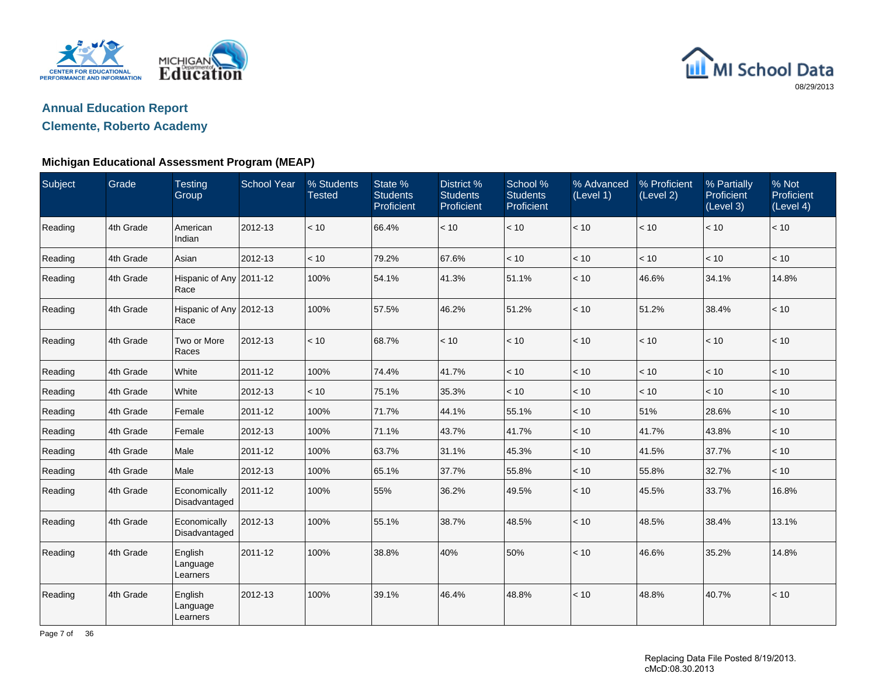



### **Clemente, Roberto Academy**

| Subject | Grade     | <b>Testing</b><br>Group         | <b>School Year</b> | % Students<br><b>Tested</b> | State %<br><b>Students</b><br>Proficient | District %<br><b>Students</b><br>Proficient | School %<br><b>Students</b><br>Proficient | % Advanced<br>(Level 1) | % Proficient<br>(Level 2) | % Partially<br>Proficient<br>(Level 3) | % Not<br>Proficient<br>(Level 4) |
|---------|-----------|---------------------------------|--------------------|-----------------------------|------------------------------------------|---------------------------------------------|-------------------------------------------|-------------------------|---------------------------|----------------------------------------|----------------------------------|
| Reading | 4th Grade | American<br>Indian              | 2012-13            | < 10                        | 66.4%                                    | < 10                                        | $<10$                                     | < 10                    | < 10                      | < 10                                   | < 10                             |
| Reading | 4th Grade | Asian                           | 2012-13            | < 10                        | 79.2%                                    | 67.6%                                       | < 10                                      | < 10                    | < 10                      | < 10                                   | < 10                             |
| Reading | 4th Grade | Hispanic of Any 2011-12<br>Race |                    | 100%                        | 54.1%                                    | 41.3%                                       | 51.1%                                     | < 10                    | 46.6%                     | 34.1%                                  | 14.8%                            |
| Reading | 4th Grade | Hispanic of Any 2012-13<br>Race |                    | 100%                        | 57.5%                                    | 46.2%                                       | 51.2%                                     | < 10                    | 51.2%                     | 38.4%                                  | < 10                             |
| Reading | 4th Grade | Two or More<br>Races            | 2012-13            | < 10                        | 68.7%                                    | < 10                                        | < 10                                      | < 10                    | < 10                      | < 10                                   | < 10                             |
| Reading | 4th Grade | White                           | 2011-12            | 100%                        | 74.4%                                    | 41.7%                                       | < 10                                      | < 10                    | < 10                      | < 10                                   | < 10                             |
| Reading | 4th Grade | White                           | 2012-13            | < 10                        | 75.1%                                    | 35.3%                                       | $<10$                                     | < 10                    | < 10                      | < 10                                   | < 10                             |
| Reading | 4th Grade | Female                          | 2011-12            | 100%                        | 71.7%                                    | 44.1%                                       | 55.1%                                     | < 10                    | 51%                       | 28.6%                                  | < 10                             |
| Reading | 4th Grade | Female                          | 2012-13            | 100%                        | 71.1%                                    | 43.7%                                       | 41.7%                                     | < 10                    | 41.7%                     | 43.8%                                  | < 10                             |
| Reading | 4th Grade | Male                            | 2011-12            | 100%                        | 63.7%                                    | 31.1%                                       | 45.3%                                     | < 10                    | 41.5%                     | 37.7%                                  | < 10                             |
| Reading | 4th Grade | Male                            | 2012-13            | 100%                        | 65.1%                                    | 37.7%                                       | 55.8%                                     | < 10                    | 55.8%                     | 32.7%                                  | < 10                             |
| Reading | 4th Grade | Economically<br>Disadvantaged   | 2011-12            | 100%                        | 55%                                      | 36.2%                                       | 49.5%                                     | < 10                    | 45.5%                     | 33.7%                                  | 16.8%                            |
| Reading | 4th Grade | Economically<br>Disadvantaged   | 2012-13            | 100%                        | 55.1%                                    | 38.7%                                       | 48.5%                                     | < 10                    | 48.5%                     | 38.4%                                  | 13.1%                            |
| Reading | 4th Grade | English<br>Language<br>Learners | 2011-12            | 100%                        | 38.8%                                    | 40%                                         | 50%                                       | < 10                    | 46.6%                     | 35.2%                                  | 14.8%                            |
| Reading | 4th Grade | English<br>Language<br>Learners | 2012-13            | 100%                        | 39.1%                                    | 46.4%                                       | 48.8%                                     | < 10                    | 48.8%                     | 40.7%                                  | < 10                             |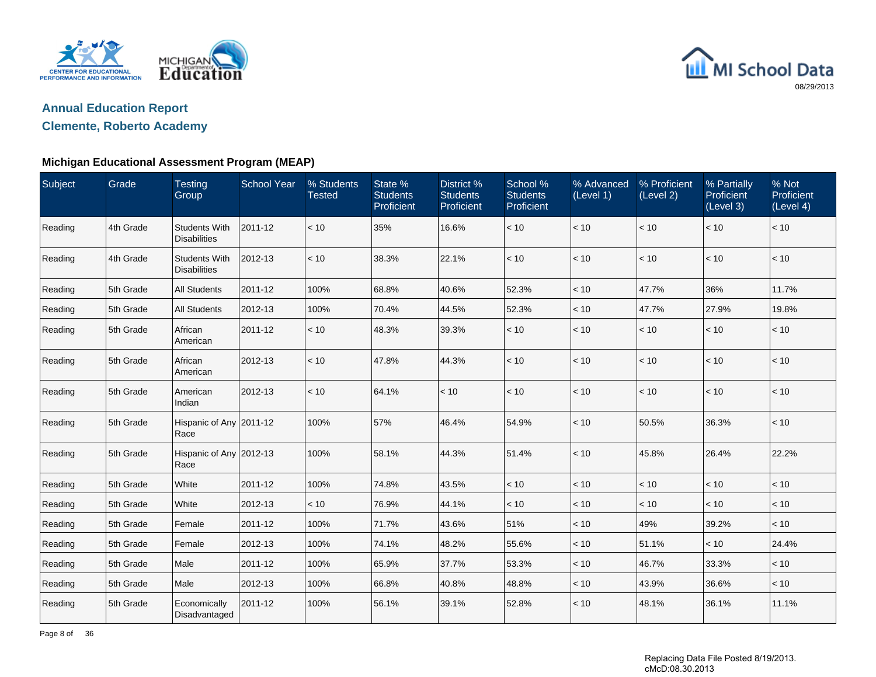



### **Clemente, Roberto Academy**

| Subject | Grade     | <b>Testing</b><br>Group                     | <b>School Year</b> | % Students<br><b>Tested</b> | State %<br><b>Students</b><br>Proficient | District %<br><b>Students</b><br>Proficient | School %<br><b>Students</b><br>Proficient | % Advanced<br>(Level 1) | % Proficient<br>(Level 2) | % Partially<br>Proficient<br>(Level 3) | % Not<br>Proficient<br>(Level 4) |
|---------|-----------|---------------------------------------------|--------------------|-----------------------------|------------------------------------------|---------------------------------------------|-------------------------------------------|-------------------------|---------------------------|----------------------------------------|----------------------------------|
| Reading | 4th Grade | <b>Students With</b><br><b>Disabilities</b> | 2011-12            | < 10                        | 35%                                      | 16.6%                                       | < 10                                      | < 10                    | < 10                      | < 10                                   | < 10                             |
| Reading | 4th Grade | <b>Students With</b><br><b>Disabilities</b> | 2012-13            | < 10                        | 38.3%                                    | 22.1%                                       | < 10                                      | < 10                    | < 10                      | < 10                                   | < 10                             |
| Reading | 5th Grade | <b>All Students</b>                         | 2011-12            | 100%                        | 68.8%                                    | 40.6%                                       | 52.3%                                     | < 10                    | 47.7%                     | 36%                                    | 11.7%                            |
| Reading | 5th Grade | <b>All Students</b>                         | 2012-13            | 100%                        | 70.4%                                    | 44.5%                                       | 52.3%                                     | < 10                    | 47.7%                     | 27.9%                                  | 19.8%                            |
| Reading | 5th Grade | African<br>American                         | 2011-12            | < 10                        | 48.3%                                    | 39.3%                                       | < 10                                      | < 10                    | < 10                      | < 10                                   | < 10                             |
| Reading | 5th Grade | African<br>American                         | 2012-13            | < 10                        | 47.8%                                    | 44.3%                                       | < 10                                      | < 10                    | < 10                      | < 10                                   | < 10                             |
| Reading | 5th Grade | American<br>Indian                          | 2012-13            | < 10                        | 64.1%                                    | < 10                                        | < 10                                      | < 10                    | < 10                      | < 10                                   | < 10                             |
| Reading | 5th Grade | Hispanic of Any 2011-12<br>Race             |                    | 100%                        | 57%                                      | 46.4%                                       | 54.9%                                     | < 10                    | 50.5%                     | 36.3%                                  | < 10                             |
| Reading | 5th Grade | Hispanic of Any 2012-13<br>Race             |                    | 100%                        | 58.1%                                    | 44.3%                                       | 51.4%                                     | < 10                    | 45.8%                     | 26.4%                                  | 22.2%                            |
| Reading | 5th Grade | White                                       | 2011-12            | 100%                        | 74.8%                                    | 43.5%                                       | < 10                                      | < 10                    | < 10                      | < 10                                   | < 10                             |
| Reading | 5th Grade | White                                       | 2012-13            | < 10                        | 76.9%                                    | 44.1%                                       | < 10                                      | < 10                    | < 10                      | < 10                                   | < 10                             |
| Reading | 5th Grade | Female                                      | 2011-12            | 100%                        | 71.7%                                    | 43.6%                                       | 51%                                       | < 10                    | 49%                       | 39.2%                                  | < 10                             |
| Reading | 5th Grade | Female                                      | 2012-13            | 100%                        | 74.1%                                    | 48.2%                                       | 55.6%                                     | < 10                    | 51.1%                     | < 10                                   | 24.4%                            |
| Reading | 5th Grade | Male                                        | 2011-12            | 100%                        | 65.9%                                    | 37.7%                                       | 53.3%                                     | < 10                    | 46.7%                     | 33.3%                                  | $<10$                            |
| Reading | 5th Grade | Male                                        | 2012-13            | 100%                        | 66.8%                                    | 40.8%                                       | 48.8%                                     | < 10                    | 43.9%                     | 36.6%                                  | < 10                             |
| Reading | 5th Grade | Economically<br>Disadvantaged               | 2011-12            | 100%                        | 56.1%                                    | 39.1%                                       | 52.8%                                     | < 10                    | 48.1%                     | 36.1%                                  | 11.1%                            |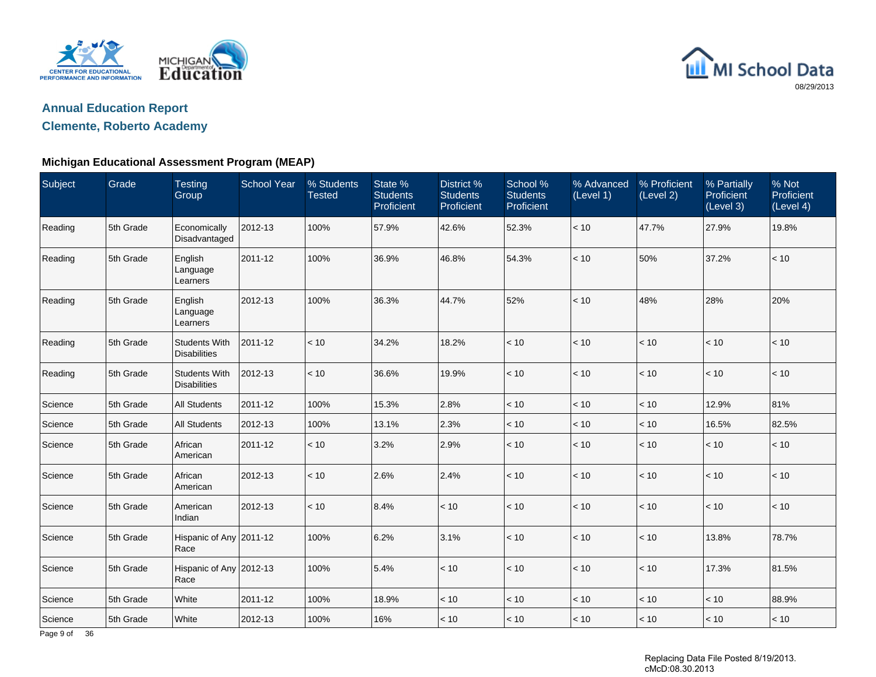



### **Clemente, Roberto Academy**

### **Michigan Educational Assessment Program (MEAP)**

| Subject | Grade     | <b>Testing</b><br>Group                     | <b>School Year</b> | % Students<br><b>Tested</b> | State %<br><b>Students</b><br>Proficient | District %<br><b>Students</b><br>Proficient | School %<br><b>Students</b><br>Proficient | % Advanced<br>(Level 1) | % Proficient<br>(Level 2) | % Partially<br>Proficient<br>(Level 3) | % Not<br>Proficient<br>(Level 4) |
|---------|-----------|---------------------------------------------|--------------------|-----------------------------|------------------------------------------|---------------------------------------------|-------------------------------------------|-------------------------|---------------------------|----------------------------------------|----------------------------------|
| Reading | 5th Grade | Economically<br>Disadvantaged               | 2012-13            | 100%                        | 57.9%                                    | 42.6%                                       | 52.3%                                     | < 10                    | 47.7%                     | 27.9%                                  | 19.8%                            |
| Reading | 5th Grade | English<br>Language<br>Learners             | 2011-12            | 100%                        | 36.9%                                    | 46.8%                                       | 54.3%                                     | < 10                    | 50%                       | 37.2%                                  | < 10                             |
| Reading | 5th Grade | English<br>Language<br>Learners             | 2012-13            | 100%                        | 36.3%                                    | 44.7%                                       | 52%                                       | < 10                    | 48%                       | 28%                                    | 20%                              |
| Reading | 5th Grade | <b>Students With</b><br><b>Disabilities</b> | 2011-12            | < 10                        | 34.2%                                    | 18.2%                                       | < 10                                      | < 10                    | < 10                      | < 10                                   | < 10                             |
| Reading | 5th Grade | <b>Students With</b><br><b>Disabilities</b> | 2012-13            | < 10                        | 36.6%                                    | 19.9%                                       | < 10                                      | $<10$                   | $<10$                     | $<10$                                  | $<10$                            |
| Science | 5th Grade | <b>All Students</b>                         | 2011-12            | 100%                        | 15.3%                                    | 2.8%                                        | $<10$                                     | $<10$                   | < 10                      | 12.9%                                  | 81%                              |
| Science | 5th Grade | <b>All Students</b>                         | 2012-13            | 100%                        | 13.1%                                    | 2.3%                                        | < 10                                      | < 10                    | < 10                      | 16.5%                                  | 82.5%                            |
| Science | 5th Grade | African<br>American                         | 2011-12            | < 10                        | 3.2%                                     | 2.9%                                        | < 10                                      | < 10                    | < 10                      | < 10                                   | $<10$                            |
| Science | 5th Grade | African<br>American                         | 2012-13            | < 10                        | 2.6%                                     | 2.4%                                        | < 10                                      | < 10                    | < 10                      | < 10                                   | $<10$                            |
| Science | 5th Grade | American<br>Indian                          | 2012-13            | < 10                        | 8.4%                                     | < 10                                        | < 10                                      | < 10                    | < 10                      | < 10                                   | $<10$                            |
| Science | 5th Grade | Hispanic of Any 2011-12<br>Race             |                    | 100%                        | 6.2%                                     | 3.1%                                        | < 10                                      | $<10$                   | < 10                      | 13.8%                                  | 78.7%                            |
| Science | 5th Grade | Hispanic of Any 2012-13<br>Race             |                    | 100%                        | 5.4%                                     | < 10                                        | < 10                                      | < 10                    | < 10                      | 17.3%                                  | 81.5%                            |
| Science | 5th Grade | White                                       | 2011-12            | 100%                        | 18.9%                                    | < 10                                        | < 10                                      | < 10                    | < 10                      | $<10$                                  | 88.9%                            |
| Science | 5th Grade | White                                       | 2012-13            | 100%                        | 16%                                      | < 10                                        | < 10                                      | < 10                    | < 10                      | < 10                                   | < 10                             |

Page 9 of 36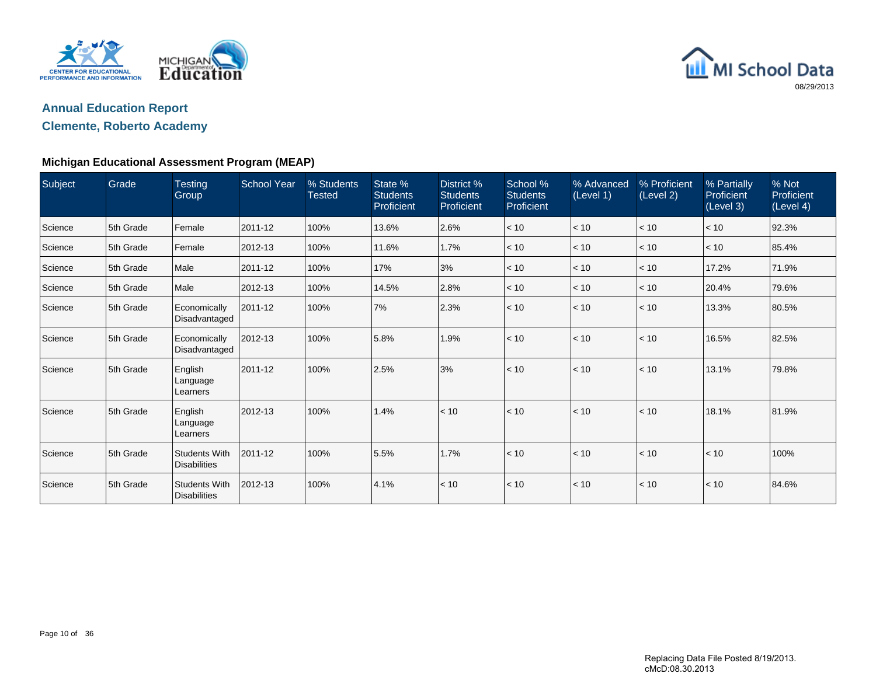



### **Clemente, Roberto Academy**

| Subject | Grade     | <b>Testing</b><br>Group                     | <b>School Year</b> | % Students<br><b>Tested</b> | State %<br><b>Students</b><br>Proficient | District %<br><b>Students</b><br>Proficient | School %<br><b>Students</b><br>Proficient | % Advanced<br>(Level 1) | % Proficient<br>(Level 2) | % Partially<br>Proficient<br>(Level 3) | % Not<br>Proficient<br>(Level 4) |
|---------|-----------|---------------------------------------------|--------------------|-----------------------------|------------------------------------------|---------------------------------------------|-------------------------------------------|-------------------------|---------------------------|----------------------------------------|----------------------------------|
| Science | 5th Grade | Female                                      | 2011-12            | 100%                        | 13.6%                                    | 2.6%                                        | < 10                                      | < 10                    | < 10                      | < 10                                   | 92.3%                            |
| Science | 5th Grade | Female                                      | 2012-13            | 100%                        | 11.6%                                    | 1.7%                                        | < 10                                      | < 10                    | < 10                      | < 10                                   | 85.4%                            |
| Science | 5th Grade | Male                                        | 2011-12            | 100%                        | 17%                                      | 3%                                          | < 10                                      | < 10                    | < 10                      | 17.2%                                  | 71.9%                            |
| Science | 5th Grade | Male                                        | 2012-13            | 100%                        | 14.5%                                    | 2.8%                                        | < 10                                      | < 10                    | < 10                      | 20.4%                                  | 79.6%                            |
| Science | 5th Grade | Economically<br>Disadvantaged               | 2011-12            | 100%                        | 7%                                       | 2.3%                                        | < 10                                      | < 10                    | < 10                      | 13.3%                                  | 80.5%                            |
| Science | 5th Grade | Economically<br>Disadvantaged               | 2012-13            | 100%                        | 5.8%                                     | 1.9%                                        | < 10                                      | < 10                    | < 10                      | 16.5%                                  | 82.5%                            |
| Science | 5th Grade | English<br>Language<br>Learners             | 2011-12            | 100%                        | 2.5%                                     | 3%                                          | < 10                                      | < 10                    | < 10                      | 13.1%                                  | 79.8%                            |
| Science | 5th Grade | English<br>Language<br>Learners             | 2012-13            | 100%                        | 1.4%                                     | < 10                                        | < 10                                      | < 10                    | < 10                      | 18.1%                                  | 81.9%                            |
| Science | 5th Grade | <b>Students With</b><br><b>Disabilities</b> | 2011-12            | 100%                        | 5.5%                                     | 1.7%                                        | < 10                                      | < 10                    | < 10                      | < 10                                   | 100%                             |
| Science | 5th Grade | <b>Students With</b><br><b>Disabilities</b> | 2012-13            | 100%                        | 4.1%                                     | < 10                                        | < 10                                      | < 10                    | < 10                      | < 10                                   | 84.6%                            |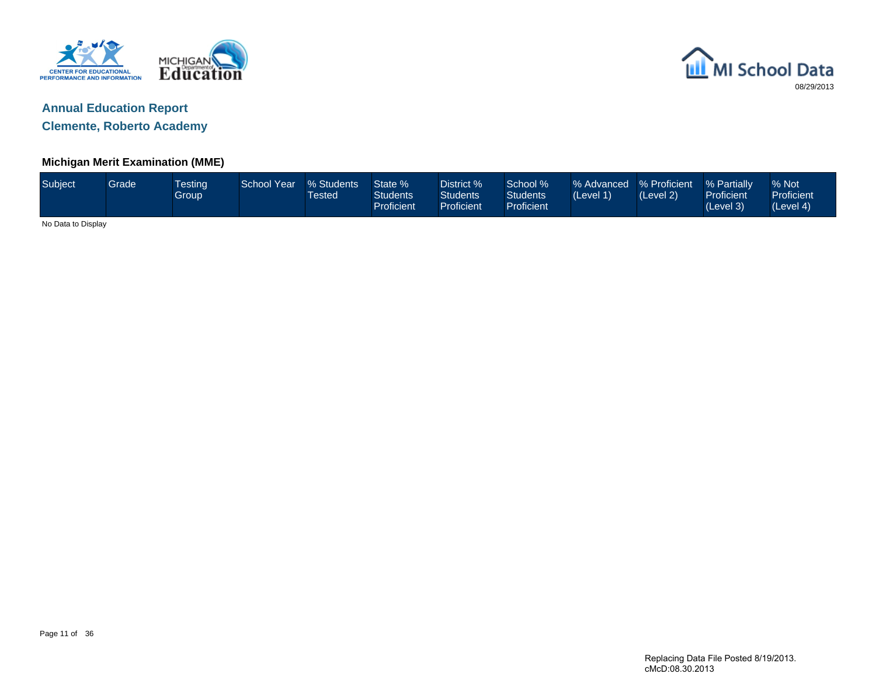



**Clemente, Roberto Academy**

### **Michigan Merit Examination (MME)**

| Subject            | <b>Grade</b> | <b>Testing</b><br><b>Group</b> | School Year | % Students<br>Tested | State %<br><b>Students</b><br>Proficient | District %<br>Students<br>Proficient | School %<br>Students<br>Proficient | % Advanced % Proficient<br>(Level 1) | (Level 2) | % Partially<br><b>Proficient</b><br>(Level 3) | % Not<br>Proficient<br>(Level 4) |
|--------------------|--------------|--------------------------------|-------------|----------------------|------------------------------------------|--------------------------------------|------------------------------------|--------------------------------------|-----------|-----------------------------------------------|----------------------------------|
| No Data to Display |              |                                |             |                      |                                          |                                      |                                    |                                      |           |                                               |                                  |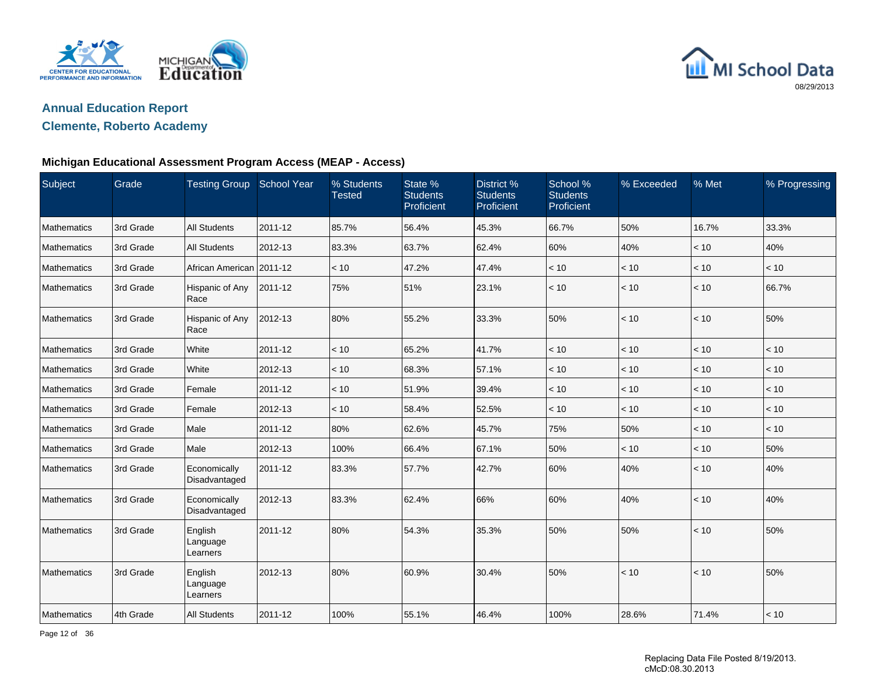



### **Clemente, Roberto Academy**

#### **Michigan Educational Assessment Program Access (MEAP - Access)**

| Subject            | Grade     | <b>Testing Group</b>            | <b>School Year</b> | % Students<br><b>Tested</b> | State %<br><b>Students</b><br>Proficient | District %<br><b>Students</b><br>Proficient | School %<br><b>Students</b><br>Proficient | % Exceeded | % Met | % Progressing |
|--------------------|-----------|---------------------------------|--------------------|-----------------------------|------------------------------------------|---------------------------------------------|-------------------------------------------|------------|-------|---------------|
| Mathematics        | 3rd Grade | <b>All Students</b>             | 2011-12            | 85.7%                       | 56.4%                                    | 45.3%                                       | 66.7%                                     | 50%        | 16.7% | 33.3%         |
| <b>Mathematics</b> | 3rd Grade | <b>All Students</b>             | 2012-13            | 83.3%                       | 63.7%                                    | 62.4%                                       | 60%                                       | 40%        | < 10  | 40%           |
| Mathematics        | 3rd Grade | African American 2011-12        |                    | < 10                        | 47.2%                                    | 47.4%                                       | < 10                                      | < 10       | < 10  | < 10          |
| <b>Mathematics</b> | 3rd Grade | Hispanic of Any<br>Race         | 2011-12            | 75%                         | 51%                                      | 23.1%                                       | < 10                                      | < 10       | < 10  | 66.7%         |
| <b>Mathematics</b> | 3rd Grade | Hispanic of Any<br>Race         | 2012-13            | 80%                         | 55.2%                                    | 33.3%                                       | 50%                                       | < 10       | < 10  | 50%           |
| <b>Mathematics</b> | 3rd Grade | White                           | 2011-12            | < 10                        | 65.2%                                    | 41.7%                                       | < 10                                      | < 10       | < 10  | < 10          |
| <b>Mathematics</b> | 3rd Grade | White                           | 2012-13            | < 10                        | 68.3%                                    | 57.1%                                       | < 10                                      | < 10       | < 10  | < 10          |
| Mathematics        | 3rd Grade | Female                          | 2011-12            | < 10                        | 51.9%                                    | 39.4%                                       | < 10                                      | < 10       | < 10  | $<10$         |
| Mathematics        | 3rd Grade | Female                          | 2012-13            | < 10                        | 58.4%                                    | 52.5%                                       | < 10                                      | < 10       | < 10  | < 10          |
| Mathematics        | 3rd Grade | Male                            | 2011-12            | 80%                         | 62.6%                                    | 45.7%                                       | 75%                                       | 50%        | < 10  | < 10          |
| <b>Mathematics</b> | 3rd Grade | Male                            | 2012-13            | 100%                        | 66.4%                                    | 67.1%                                       | 50%                                       | < 10       | < 10  | 50%           |
| <b>Mathematics</b> | 3rd Grade | Economically<br>Disadvantaged   | 2011-12            | 83.3%                       | 57.7%                                    | 42.7%                                       | 60%                                       | 40%        | < 10  | 40%           |
| <b>Mathematics</b> | 3rd Grade | Economically<br>Disadvantaged   | 2012-13            | 83.3%                       | 62.4%                                    | 66%                                         | 60%                                       | 40%        | < 10  | 40%           |
| Mathematics        | 3rd Grade | English<br>Language<br>Learners | 2011-12            | 80%                         | 54.3%                                    | 35.3%                                       | 50%                                       | 50%        | < 10  | 50%           |
| Mathematics        | 3rd Grade | English<br>Language<br>Learners | 2012-13            | 80%                         | 60.9%                                    | 30.4%                                       | 50%                                       | < 10       | < 10  | 50%           |
| Mathematics        | 4th Grade | <b>All Students</b>             | 2011-12            | 100%                        | 55.1%                                    | 46.4%                                       | 100%                                      | 28.6%      | 71.4% | < 10          |

Page 12 of 36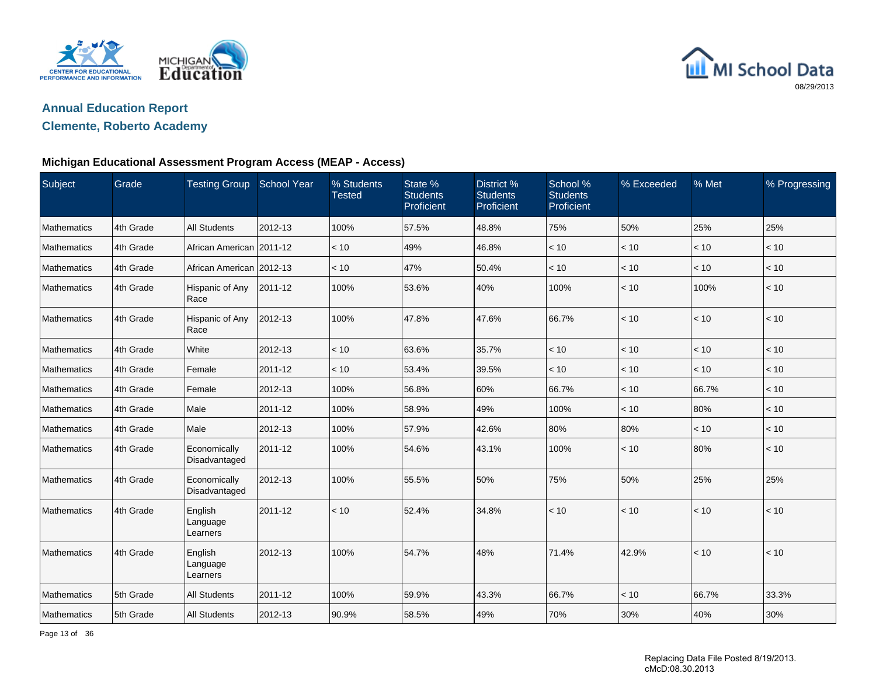



### **Clemente, Roberto Academy**

#### **Michigan Educational Assessment Program Access (MEAP - Access)**

| Subject            | Grade     | <b>Testing Group</b>            | School Year | % Students<br><b>Tested</b> | State %<br><b>Students</b><br>Proficient | <b>District %</b><br><b>Students</b><br>Proficient | School %<br><b>Students</b><br>Proficient | % Exceeded | % Met | % Progressing |
|--------------------|-----------|---------------------------------|-------------|-----------------------------|------------------------------------------|----------------------------------------------------|-------------------------------------------|------------|-------|---------------|
| Mathematics        | 4th Grade | <b>All Students</b>             | 2012-13     | 100%                        | 57.5%                                    | 48.8%                                              | 75%                                       | 50%        | 25%   | 25%           |
| <b>Mathematics</b> | 4th Grade | African American 2011-12        |             | < 10                        | 49%                                      | 46.8%                                              | < 10                                      | < 10       | < 10  | < 10          |
| Mathematics        | 4th Grade | African American 2012-13        |             | < 10                        | 47%                                      | 50.4%                                              | < 10                                      | < 10       | < 10  | < 10          |
| <b>Mathematics</b> | 4th Grade | Hispanic of Any<br>Race         | 2011-12     | 100%                        | 53.6%                                    | 40%                                                | 100%                                      | < 10       | 100%  | < 10          |
| <b>Mathematics</b> | 4th Grade | Hispanic of Any<br>Race         | 2012-13     | 100%                        | 47.8%                                    | 47.6%                                              | 66.7%                                     | < 10       | < 10  | < 10          |
| <b>Mathematics</b> | 4th Grade | White                           | 2012-13     | < 10                        | 63.6%                                    | 35.7%                                              | < 10                                      | < 10       | < 10  | < 10          |
| <b>Mathematics</b> | 4th Grade | Female                          | 2011-12     | < 10                        | 53.4%                                    | 39.5%                                              | < 10                                      | < 10       | < 10  | < 10          |
| Mathematics        | 4th Grade | Female                          | 2012-13     | 100%                        | 56.8%                                    | 60%                                                | 66.7%                                     | < 10       | 66.7% | < 10          |
| Mathematics        | 4th Grade | Male                            | 2011-12     | 100%                        | 58.9%                                    | 49%                                                | 100%                                      | < 10       | 80%   | < 10          |
| Mathematics        | 4th Grade | Male                            | 2012-13     | 100%                        | 57.9%                                    | 42.6%                                              | 80%                                       | 80%        | < 10  | < 10          |
| <b>Mathematics</b> | 4th Grade | Economically<br>Disadvantaged   | 2011-12     | 100%                        | 54.6%                                    | 43.1%                                              | 100%                                      | < 10       | 80%   | $\vert$ < 10  |
| <b>Mathematics</b> | 4th Grade | Economically<br>Disadvantaged   | 2012-13     | 100%                        | 55.5%                                    | 50%                                                | 75%                                       | 50%        | 25%   | 25%           |
| Mathematics        | 4th Grade | English<br>Language<br>Learners | 2011-12     | < 10                        | 52.4%                                    | 34.8%                                              | < 10                                      | < 10       | < 10  | < 10          |
| Mathematics        | 4th Grade | English<br>Language<br>Learners | 2012-13     | 100%                        | 54.7%                                    | 48%                                                | 71.4%                                     | 42.9%      | < 10  | < 10          |
| Mathematics        | 5th Grade | <b>All Students</b>             | 2011-12     | 100%                        | 59.9%                                    | 43.3%                                              | 66.7%                                     | < 10       | 66.7% | 33.3%         |
| Mathematics        | 5th Grade | <b>All Students</b>             | 2012-13     | 90.9%                       | 58.5%                                    | 49%                                                | 70%                                       | 30%        | 40%   | 30%           |

Page 13 of 36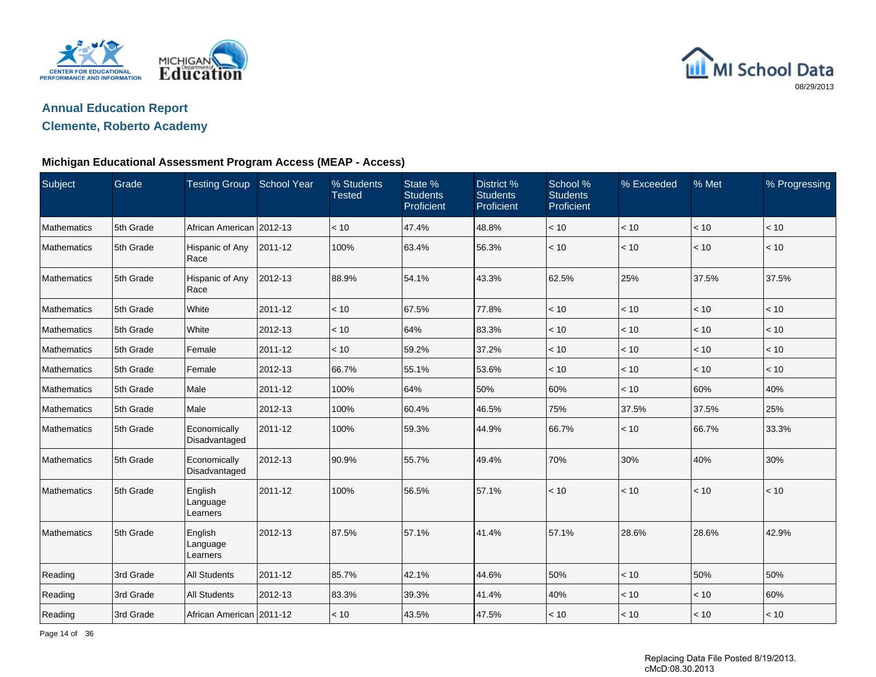



### **Clemente, Roberto Academy**

#### **Michigan Educational Assessment Program Access (MEAP - Access)**

| Subject     | Grade     | <b>Testing Group</b>            | School Year | % Students<br><b>Tested</b> | State %<br><b>Students</b><br>Proficient | District %<br><b>Students</b><br>Proficient | School %<br><b>Students</b><br>Proficient | % Exceeded   | % Met | % Progressing |
|-------------|-----------|---------------------------------|-------------|-----------------------------|------------------------------------------|---------------------------------------------|-------------------------------------------|--------------|-------|---------------|
| Mathematics | 5th Grade | African American   2012-13      |             | < 10                        | 47.4%                                    | 48.8%                                       | < 10                                      | < 10         | < 10  | < 10          |
| Mathematics | 5th Grade | Hispanic of Any<br>Race         | 2011-12     | 100%                        | 63.4%                                    | 56.3%                                       | < 10                                      | < 10         | < 10  | < 10          |
| Mathematics | 5th Grade | Hispanic of Any<br>Race         | 2012-13     | 88.9%                       | 54.1%                                    | 43.3%                                       | 62.5%                                     | 25%          | 37.5% | 37.5%         |
| Mathematics | 5th Grade | White                           | 2011-12     | < 10                        | 67.5%                                    | 77.8%                                       | < 10                                      | < 10         | < 10  | < 10          |
| Mathematics | 5th Grade | White                           | 2012-13     | < 10                        | 64%                                      | 83.3%                                       | < 10                                      | < 10         | < 10  | < 10          |
| Mathematics | 5th Grade | Female                          | 2011-12     | < 10                        | 59.2%                                    | 37.2%                                       | < 10                                      | < 10         | < 10  | < 10          |
| Mathematics | 5th Grade | Female                          | 2012-13     | 66.7%                       | 55.1%                                    | 53.6%                                       | < 10                                      | < 10         | < 10  | < 10          |
| Mathematics | 5th Grade | Male                            | 2011-12     | 100%                        | 64%                                      | 50%                                         | 60%                                       | < 10         | 60%   | 40%           |
| Mathematics | 5th Grade | Male                            | 2012-13     | 100%                        | 60.4%                                    | 46.5%                                       | 75%                                       | 37.5%        | 37.5% | 25%           |
| Mathematics | 5th Grade | Economically<br>Disadvantaged   | 2011-12     | 100%                        | 59.3%                                    | 44.9%                                       | 66.7%                                     | < 10         | 66.7% | 33.3%         |
| Mathematics | 5th Grade | Economically<br>Disadvantaged   | 2012-13     | 90.9%                       | 55.7%                                    | 49.4%                                       | 70%                                       | 30%          | 40%   | 30%           |
| Mathematics | 5th Grade | English<br>Language<br>Learners | 2011-12     | 100%                        | 56.5%                                    | 57.1%                                       | < 10                                      | $\vert$ < 10 | < 10  | < 10          |
| Mathematics | 5th Grade | English<br>Language<br>Learners | 2012-13     | 87.5%                       | 57.1%                                    | 41.4%                                       | 57.1%                                     | 28.6%        | 28.6% | 42.9%         |
| Reading     | 3rd Grade | <b>All Students</b>             | 2011-12     | 85.7%                       | 42.1%                                    | 44.6%                                       | 50%                                       | < 10         | 50%   | 50%           |
| Reading     | 3rd Grade | <b>All Students</b>             | 2012-13     | 83.3%                       | 39.3%                                    | 41.4%                                       | 40%                                       | < 10         | < 10  | 60%           |
| Reading     | 3rd Grade | African American 2011-12        |             | < 10                        | 43.5%                                    | 47.5%                                       | < 10                                      | $\leq 10$    | < 10  | < 10          |

Page 14 of 36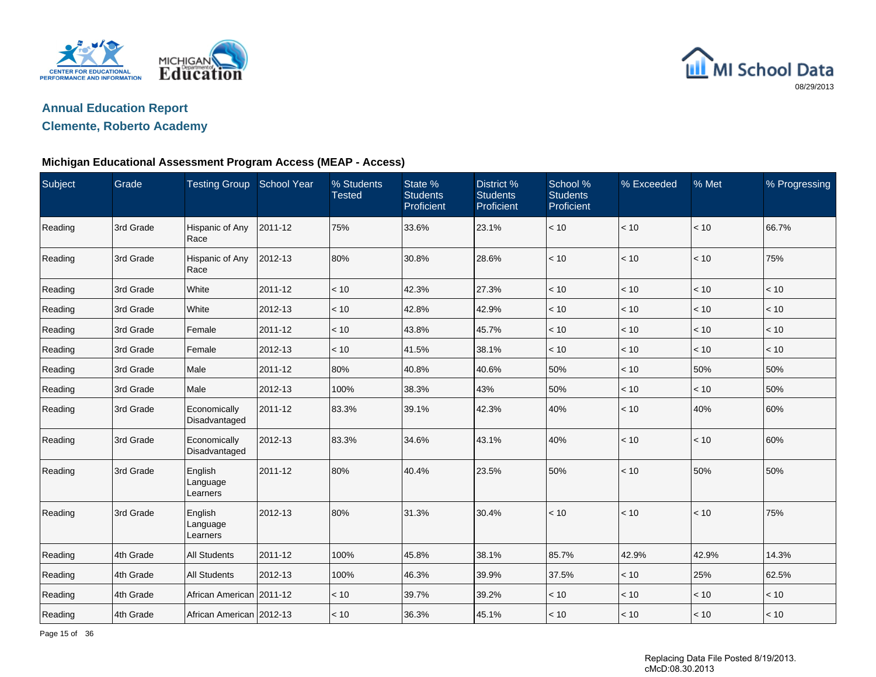



### **Clemente, Roberto Academy**

#### **Michigan Educational Assessment Program Access (MEAP - Access)**

| Subject | Grade     | <b>Testing Group</b>            | <b>School Year</b> | % Students<br><b>Tested</b> | State %<br><b>Students</b><br>Proficient | District %<br><b>Students</b><br>Proficient | School %<br><b>Students</b><br>Proficient | % Exceeded   | % Met | % Progressing |
|---------|-----------|---------------------------------|--------------------|-----------------------------|------------------------------------------|---------------------------------------------|-------------------------------------------|--------------|-------|---------------|
| Reading | 3rd Grade | Hispanic of Any<br>Race         | 2011-12            | 75%                         | 33.6%                                    | 23.1%                                       | < 10                                      | < 10         | < 10  | 66.7%         |
| Reading | 3rd Grade | Hispanic of Any<br>Race         | 2012-13            | 80%                         | 30.8%                                    | 28.6%                                       | < 10                                      | < 10         | < 10  | 75%           |
| Reading | 3rd Grade | White                           | 2011-12            | < 10                        | 42.3%                                    | 27.3%                                       | $<10$                                     | $<10$        | < 10  | $<10$         |
| Reading | 3rd Grade | <b>White</b>                    | 2012-13            | < 10                        | 42.8%                                    | 42.9%                                       | < 10                                      | < 10         | < 10  | < 10          |
| Reading | 3rd Grade | Female                          | 2011-12            | < 10                        | 43.8%                                    | 45.7%                                       | < 10                                      | < 10         | < 10  | < 10          |
| Reading | 3rd Grade | Female                          | 2012-13            | < 10                        | 41.5%                                    | 38.1%                                       | < 10                                      | < 10         | < 10  | < 10          |
| Reading | 3rd Grade | Male                            | 2011-12            | 80%                         | 40.8%                                    | 40.6%                                       | 50%                                       | < 10         | 50%   | 50%           |
| Reading | 3rd Grade | Male                            | 2012-13            | 100%                        | 38.3%                                    | 43%                                         | 50%                                       | $<10$        | < 10  | 50%           |
| Reading | 3rd Grade | Economically<br>Disadvantaged   | 2011-12            | 83.3%                       | 39.1%                                    | 42.3%                                       | 40%                                       | < 10         | 40%   | 60%           |
| Reading | 3rd Grade | Economically<br>Disadvantaged   | 2012-13            | 83.3%                       | 34.6%                                    | 43.1%                                       | 40%                                       | < 10         | < 10  | 60%           |
| Reading | 3rd Grade | English<br>Language<br>Learners | 2011-12            | 80%                         | 40.4%                                    | 23.5%                                       | 50%                                       | $\vert$ < 10 | 50%   | 50%           |
| Reading | 3rd Grade | English<br>Language<br>Learners | 2012-13            | 80%                         | 31.3%                                    | 30.4%                                       | < 10                                      | $\vert$ < 10 | < 10  | 75%           |
| Reading | 4th Grade | <b>All Students</b>             | 2011-12            | 100%                        | 45.8%                                    | 38.1%                                       | 85.7%                                     | 42.9%        | 42.9% | 14.3%         |
| Reading | 4th Grade | <b>All Students</b>             | 2012-13            | 100%                        | 46.3%                                    | 39.9%                                       | 37.5%                                     | < 10         | 25%   | 62.5%         |
| Reading | 4th Grade | African American 2011-12        |                    | < 10                        | 39.7%                                    | 39.2%                                       | < 10                                      | < 10         | < 10  | < 10          |
| Reading | 4th Grade | African American 2012-13        |                    | < 10                        | 36.3%                                    | 45.1%                                       | < 10                                      | $\leq 10$    | < 10  | < 10          |

Page 15 of 36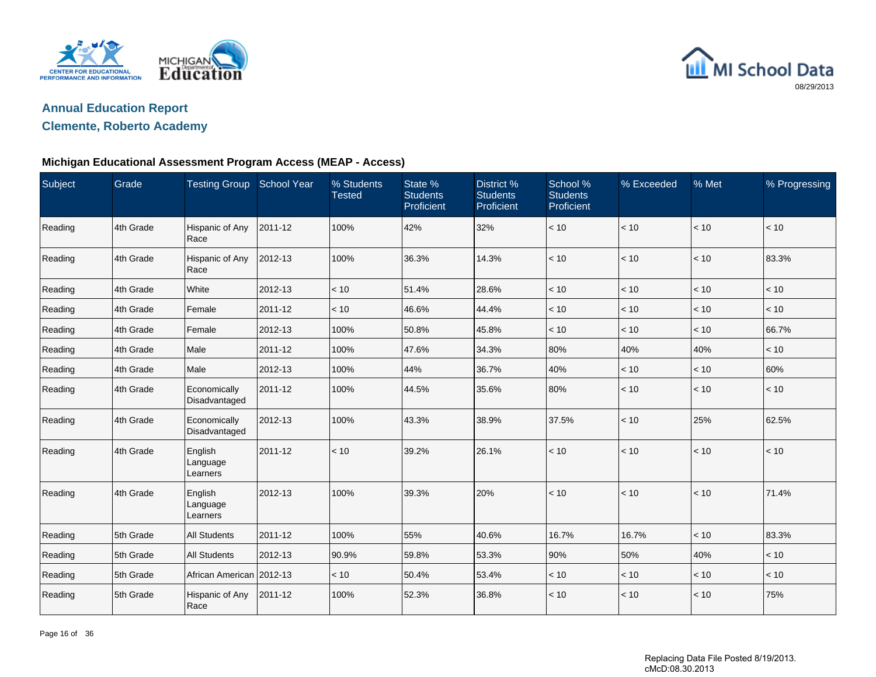



### **Clemente, Roberto Academy**

#### **Michigan Educational Assessment Program Access (MEAP - Access)**

| Subject | Grade     | <b>Testing Group</b>            | <b>School Year</b> | % Students<br><b>Tested</b> | State %<br><b>Students</b><br>Proficient | District %<br><b>Students</b><br>Proficient | School %<br><b>Students</b><br>Proficient | % Exceeded   | % Met | % Progressing |
|---------|-----------|---------------------------------|--------------------|-----------------------------|------------------------------------------|---------------------------------------------|-------------------------------------------|--------------|-------|---------------|
| Reading | 4th Grade | Hispanic of Any<br>Race         | 2011-12            | 100%                        | 42%                                      | 32%                                         | < 10                                      | < 10         | $<10$ | $<10$         |
| Reading | 4th Grade | Hispanic of Any<br>Race         | 2012-13            | 100%                        | 36.3%                                    | 14.3%                                       | < 10                                      | < 10         | < 10  | 83.3%         |
| Reading | 4th Grade | White                           | 2012-13            | < 10                        | 51.4%                                    | 28.6%                                       | < 10                                      | < 10         | $<10$ | < 10          |
| Reading | 4th Grade | Female                          | 2011-12            | < 10                        | 46.6%                                    | 44.4%                                       | < 10                                      | < 10         | < 10  | < 10          |
| Reading | 4th Grade | Female                          | 2012-13            | 100%                        | 50.8%                                    | 45.8%                                       | < 10                                      | < 10         | < 10  | 66.7%         |
| Reading | 4th Grade | Male                            | 2011-12            | 100%                        | 47.6%                                    | 34.3%                                       | 80%                                       | 40%          | 40%   | < 10          |
| Reading | 4th Grade | Male                            | 2012-13            | 100%                        | 44%                                      | 36.7%                                       | 40%                                       | < 10         | < 10  | 60%           |
| Reading | 4th Grade | Economically<br>Disadvantaged   | 2011-12            | 100%                        | 44.5%                                    | 35.6%                                       | 80%                                       | < 10         | < 10  | < 10          |
| Reading | 4th Grade | Economically<br>Disadvantaged   | 2012-13            | 100%                        | 43.3%                                    | 38.9%                                       | 37.5%                                     | < 10         | 25%   | 62.5%         |
| Reading | 4th Grade | English<br>Language<br>Learners | 2011-12            | < 10                        | 39.2%                                    | 26.1%                                       | < 10                                      | $\vert$ < 10 | < 10  | < 10          |
| Reading | 4th Grade | English<br>Language<br>Learners | 2012-13            | 100%                        | 39.3%                                    | 20%                                         | < 10                                      | $ $ < 10     | < 10  | 71.4%         |
| Reading | 5th Grade | <b>All Students</b>             | 2011-12            | 100%                        | 55%                                      | 40.6%                                       | 16.7%                                     | 16.7%        | < 10  | 83.3%         |
| Reading | 5th Grade | <b>All Students</b>             | 2012-13            | 90.9%                       | 59.8%                                    | 53.3%                                       | 90%                                       | 50%          | 40%   | < 10          |
| Reading | 5th Grade | African American 2012-13        |                    | < 10                        | 50.4%                                    | 53.4%                                       | < 10                                      | < 10         | < 10  | < 10          |
| Reading | 5th Grade | Hispanic of Any<br>Race         | 2011-12            | 100%                        | 52.3%                                    | 36.8%                                       | < 10                                      | < 10         | < 10  | 75%           |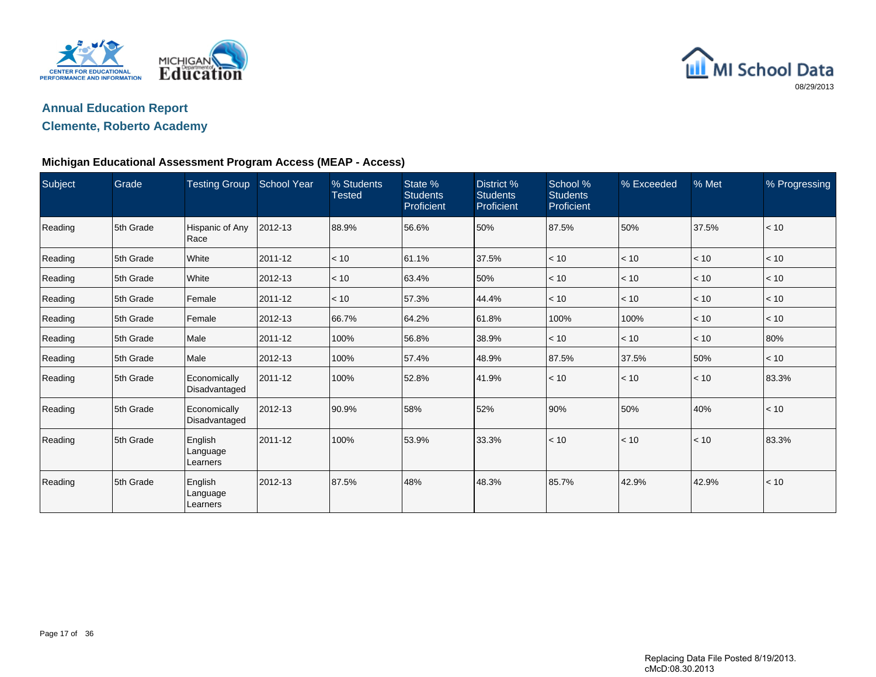



### **Clemente, Roberto Academy**

### **Michigan Educational Assessment Program Access (MEAP - Access)**

| Subject | Grade     | Testing Group School Year       |         | % Students<br><b>Tested</b> | State %<br><b>Students</b><br>Proficient | District %<br><b>Students</b><br>Proficient | School %<br><b>Students</b><br>Proficient | % Exceeded | % Met | % Progressing |
|---------|-----------|---------------------------------|---------|-----------------------------|------------------------------------------|---------------------------------------------|-------------------------------------------|------------|-------|---------------|
| Reading | 5th Grade | Hispanic of Any<br>Race         | 2012-13 | 88.9%                       | 56.6%                                    | 50%                                         | 87.5%                                     | 50%        | 37.5% | < 10          |
| Reading | 5th Grade | White                           | 2011-12 | < 10                        | 61.1%                                    | 37.5%                                       | < 10                                      | < 10       | < 10  | < 10          |
| Reading | 5th Grade | White                           | 2012-13 | < 10                        | 63.4%                                    | 50%                                         | < 10                                      | < 10       | < 10  | < 10          |
| Reading | 5th Grade | Female                          | 2011-12 | < 10                        | 57.3%                                    | 44.4%                                       | < 10                                      | < 10       | < 10  | < 10          |
| Reading | 5th Grade | Female                          | 2012-13 | 66.7%                       | 64.2%                                    | 61.8%                                       | 100%                                      | 100%       | < 10  | < 10          |
| Reading | 5th Grade | Male                            | 2011-12 | 100%                        | 56.8%                                    | 38.9%                                       | < 10                                      | < 10       | < 10  | 80%           |
| Reading | 5th Grade | Male                            | 2012-13 | 100%                        | 57.4%                                    | 48.9%                                       | 87.5%                                     | 37.5%      | 50%   | < 10          |
| Reading | 5th Grade | Economically<br>Disadvantaged   | 2011-12 | 100%                        | 52.8%                                    | 41.9%                                       | < 10                                      | < 10       | < 10  | 83.3%         |
| Reading | 5th Grade | Economically<br>Disadvantaged   | 2012-13 | 90.9%                       | 58%                                      | 52%                                         | 90%                                       | 50%        | 40%   | < 10          |
| Reading | 5th Grade | English<br>Language<br>Learners | 2011-12 | 100%                        | 53.9%                                    | 33.3%                                       | < 10                                      | < 10       | < 10  | 83.3%         |
| Reading | 5th Grade | English<br>Language<br>Learners | 2012-13 | 87.5%                       | 48%                                      | 48.3%                                       | 85.7%                                     | 42.9%      | 42.9% | < 10          |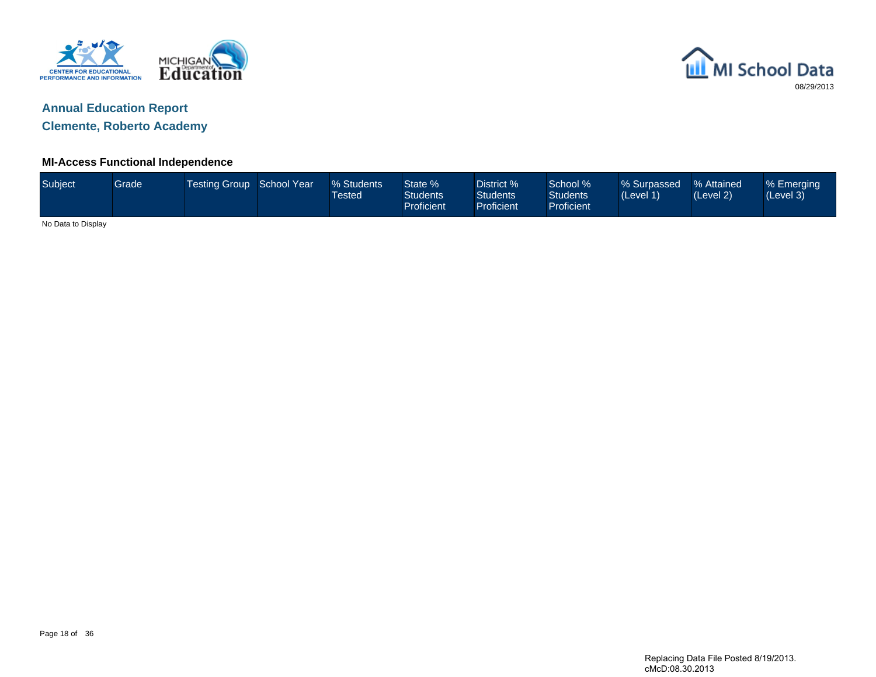



**Clemente, Roberto Academy**

### **MI-Access Functional Independence**

| Subject            | Grade | Testing Group School Year | % Students<br>Tested <sup>1</sup> | State %<br><b>Students</b><br>Proficient | District %<br><b>Students</b><br><b>Proficient</b> | School %<br><b>Students</b><br>Proficient | % Surpassed<br>(Level 1) | % Attained<br>(Level 2) | % Emerging<br>(Level 3) |
|--------------------|-------|---------------------------|-----------------------------------|------------------------------------------|----------------------------------------------------|-------------------------------------------|--------------------------|-------------------------|-------------------------|
| No Data to Display |       |                           |                                   |                                          |                                                    |                                           |                          |                         |                         |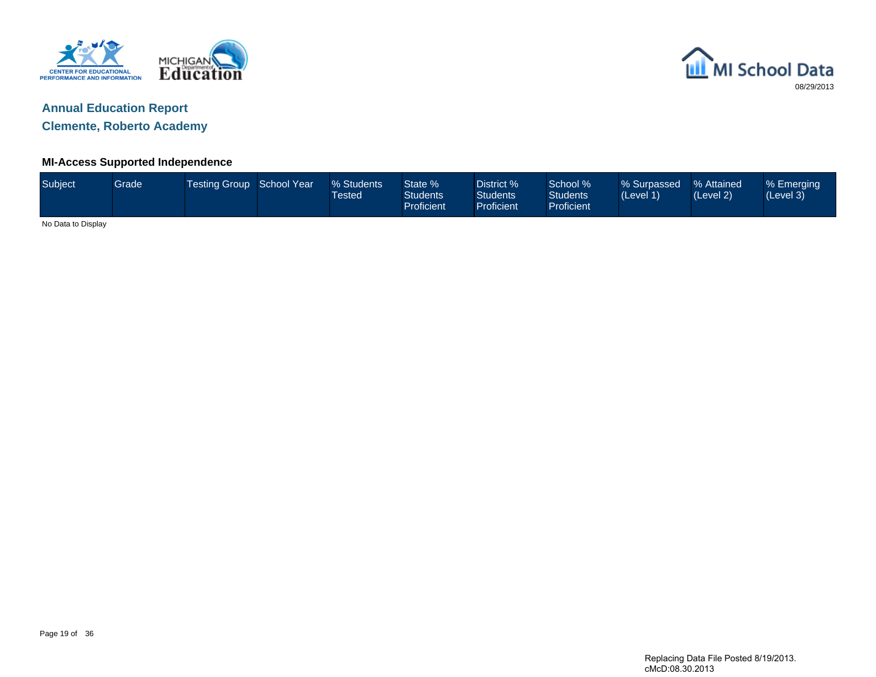



**Clemente, Roberto Academy**

### **MI-Access Supported Independence**

| Subject            | Grade | Testing Group School Year |  | % Students<br><b>Tested</b> | State %<br><b>Students</b><br>Proficient | District %<br><b>Students</b><br><b>Proficient</b> | School %<br><b>Students</b><br>Proficient | % Surpassed<br>(Level 1) | % Attained<br>(Level 2) | % Emerging<br>(Level 3) |
|--------------------|-------|---------------------------|--|-----------------------------|------------------------------------------|----------------------------------------------------|-------------------------------------------|--------------------------|-------------------------|-------------------------|
| No Data to Display |       |                           |  |                             |                                          |                                                    |                                           |                          |                         |                         |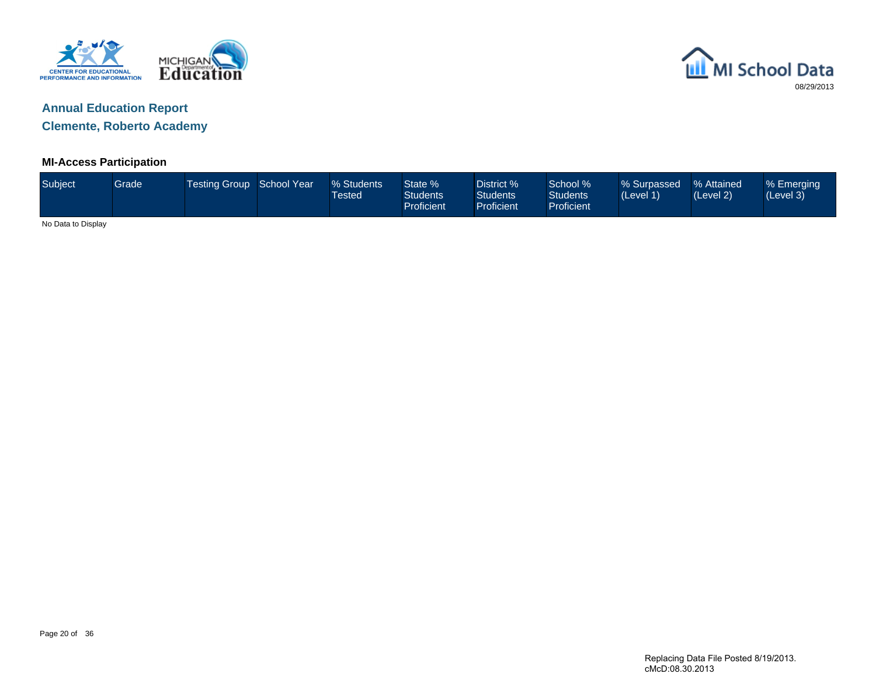



**Clemente, Roberto Academy**

### **MI-Access Participation**

| Subject            | Grade | Testing Group School Year | % Students<br>Tested | State %<br><b>Students</b><br><b>Proficient</b> | District %<br><b>Students</b><br>Proficient | School %<br><b>Students</b><br>Proficient | % Surpassed<br>(Level 1) | ■% Attained<br>(Level 2) | % Emerging<br>(Level 3) |
|--------------------|-------|---------------------------|----------------------|-------------------------------------------------|---------------------------------------------|-------------------------------------------|--------------------------|--------------------------|-------------------------|
| No Data to Display |       |                           |                      |                                                 |                                             |                                           |                          |                          |                         |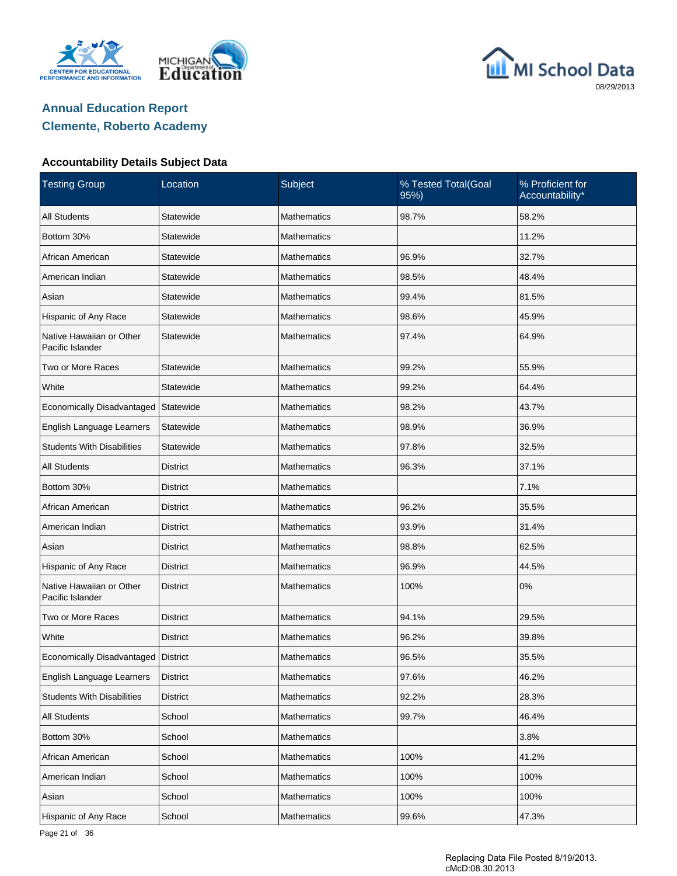





#### **Accountability Details Subject Data**

| <b>Testing Group</b>                         | Location        | Subject            | % Tested Total(Goal<br>95%) | % Proficient for<br>Accountability* |
|----------------------------------------------|-----------------|--------------------|-----------------------------|-------------------------------------|
| <b>All Students</b>                          | Statewide       | <b>Mathematics</b> | 98.7%                       | 58.2%                               |
| Bottom 30%                                   | Statewide       | <b>Mathematics</b> |                             | 11.2%                               |
| African American                             | Statewide       | Mathematics        | 96.9%                       | 32.7%                               |
| American Indian                              | Statewide       | <b>Mathematics</b> | 98.5%                       | 48.4%                               |
| Asian                                        | Statewide       | Mathematics        | 99.4%                       | 81.5%                               |
| Hispanic of Any Race                         | Statewide       | <b>Mathematics</b> | 98.6%                       | 45.9%                               |
| Native Hawaiian or Other<br>Pacific Islander | Statewide       | <b>Mathematics</b> | 97.4%                       | 64.9%                               |
| Two or More Races                            | Statewide       | <b>Mathematics</b> | 99.2%                       | 55.9%                               |
| White                                        | Statewide       | <b>Mathematics</b> | 99.2%                       | 64.4%                               |
| Economically Disadvantaged                   | Statewide       | <b>Mathematics</b> | 98.2%                       | 43.7%                               |
| English Language Learners                    | Statewide       | <b>Mathematics</b> | 98.9%                       | 36.9%                               |
| <b>Students With Disabilities</b>            | Statewide       | <b>Mathematics</b> | 97.8%                       | 32.5%                               |
| <b>All Students</b>                          | <b>District</b> | <b>Mathematics</b> | 96.3%                       | 37.1%                               |
| Bottom 30%                                   | <b>District</b> | <b>Mathematics</b> |                             | 7.1%                                |
| African American                             | <b>District</b> | <b>Mathematics</b> | 96.2%                       | 35.5%                               |
| American Indian                              | <b>District</b> | <b>Mathematics</b> | 93.9%                       | 31.4%                               |
| Asian                                        | District        | <b>Mathematics</b> | 98.8%                       | 62.5%                               |
| Hispanic of Any Race                         | <b>District</b> | <b>Mathematics</b> | 96.9%                       | 44.5%                               |
| Native Hawaiian or Other<br>Pacific Islander | <b>District</b> | <b>Mathematics</b> | 100%                        | 0%                                  |
| Two or More Races                            | District        | Mathematics        | 94.1%                       | 29.5%                               |
| White                                        | <b>District</b> | <b>Mathematics</b> | 96.2%                       | 39.8%                               |
| Economically Disadvantaged   District        |                 | <b>Mathematics</b> | 96.5%                       | 35.5%                               |
| English Language Learners                    | <b>District</b> | Mathematics        | 97.6%                       | 46.2%                               |
| <b>Students With Disabilities</b>            | <b>District</b> | Mathematics        | 92.2%                       | 28.3%                               |
| <b>All Students</b>                          | School          | <b>Mathematics</b> | 99.7%                       | 46.4%                               |
| Bottom 30%                                   | School          | <b>Mathematics</b> |                             | 3.8%                                |
| African American                             | School          | Mathematics        | 100%                        | 41.2%                               |
| American Indian                              | School          | <b>Mathematics</b> | 100%                        | 100%                                |
| Asian                                        | School          | Mathematics        | 100%                        | 100%                                |
| Hispanic of Any Race                         | School          | Mathematics        | 99.6%                       | 47.3%                               |

Page 21 of 36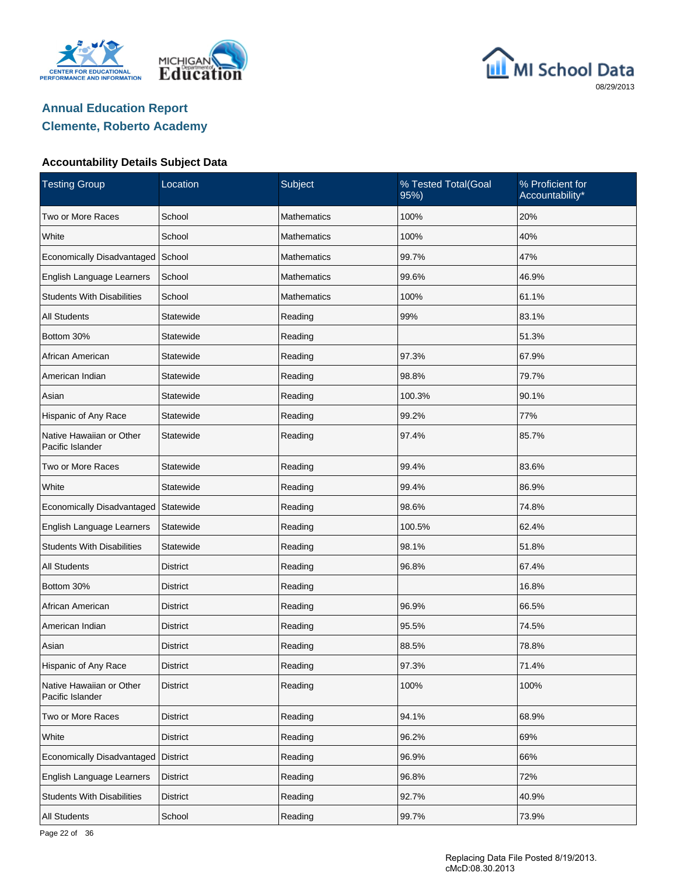





| <b>Testing Group</b>                         | Location        | Subject            | % Tested Total(Goal<br>95%) | % Proficient for<br>Accountability* |
|----------------------------------------------|-----------------|--------------------|-----------------------------|-------------------------------------|
| Two or More Races                            | School          | <b>Mathematics</b> | 100%                        | 20%                                 |
| White                                        | School          | <b>Mathematics</b> | 100%                        | 40%                                 |
| Economically Disadvantaged                   | School          | Mathematics        | 99.7%                       | 47%                                 |
| English Language Learners                    | School          | <b>Mathematics</b> | 99.6%                       | 46.9%                               |
| <b>Students With Disabilities</b>            | School          | <b>Mathematics</b> | 100%                        | 61.1%                               |
| <b>All Students</b>                          | Statewide       | Reading            | 99%                         | 83.1%                               |
| Bottom 30%                                   | Statewide       | Reading            |                             | 51.3%                               |
| African American                             | Statewide       | Reading            | 97.3%                       | 67.9%                               |
| American Indian                              | Statewide       | Reading            | 98.8%                       | 79.7%                               |
| Asian                                        | Statewide       | Reading            | 100.3%                      | 90.1%                               |
| Hispanic of Any Race                         | Statewide       | Reading            | 99.2%                       | 77%                                 |
| Native Hawaiian or Other<br>Pacific Islander | Statewide       | Reading            | 97.4%                       | 85.7%                               |
| Two or More Races                            | Statewide       | Reading            | 99.4%                       | 83.6%                               |
| White                                        | Statewide       | Reading            | 99.4%                       | 86.9%                               |
| Economically Disadvantaged                   | Statewide       | Reading            | 98.6%                       | 74.8%                               |
| English Language Learners                    | Statewide       | Reading            | 100.5%                      | 62.4%                               |
| <b>Students With Disabilities</b>            | Statewide       | Reading            | 98.1%                       | 51.8%                               |
| All Students                                 | District        | Reading            | 96.8%                       | 67.4%                               |
| Bottom 30%                                   | <b>District</b> | Reading            |                             | 16.8%                               |
| African American                             | District        | Reading            | 96.9%                       | 66.5%                               |
| American Indian                              | <b>District</b> | Reading            | 95.5%                       | 74.5%                               |
| Asian                                        | District        | Reading            | 88.5%                       | 78.8%                               |
| Hispanic of Any Race                         | <b>District</b> | Reading            | 97.3%                       | 71.4%                               |
| Native Hawaiian or Other<br>Pacific Islander | District        | Reading            | 100%                        | 100%                                |
| Two or More Races                            | <b>District</b> | Reading            | 94.1%                       | 68.9%                               |
| White                                        | District        | Reading            | 96.2%                       | 69%                                 |
| Economically Disadvantaged                   | <b>District</b> | Reading            | 96.9%                       | 66%                                 |
| English Language Learners                    | District        | Reading            | 96.8%                       | 72%                                 |
| <b>Students With Disabilities</b>            | District        | Reading            | 92.7%                       | 40.9%                               |
| All Students                                 | School          | Reading            | 99.7%                       | 73.9%                               |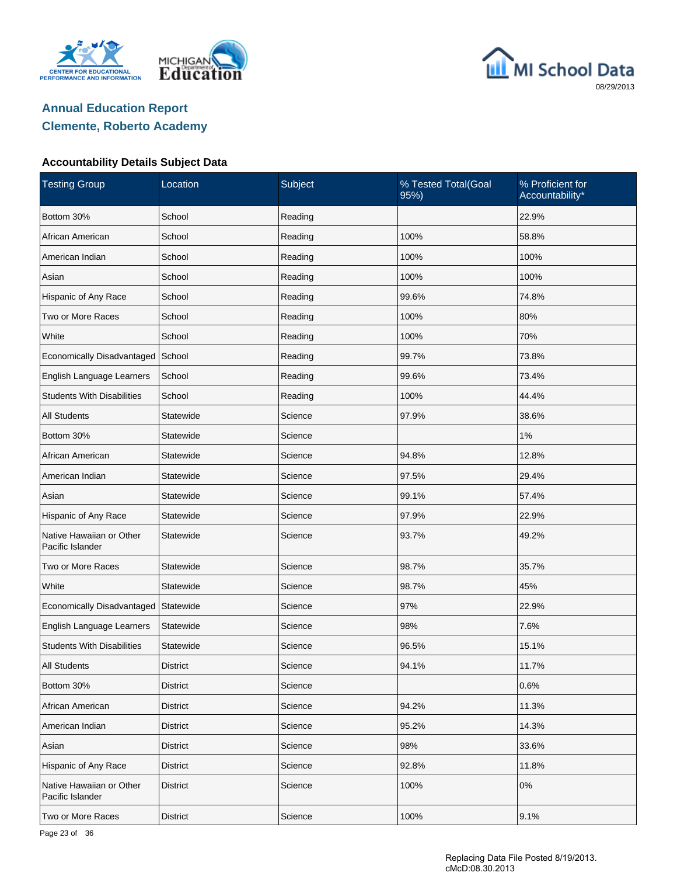





| <b>Testing Group</b>                         | Location        | Subject | % Tested Total(Goal<br>95%) | % Proficient for<br>Accountability* |
|----------------------------------------------|-----------------|---------|-----------------------------|-------------------------------------|
| Bottom 30%                                   | School          | Reading |                             | 22.9%                               |
| African American                             | School          | Reading | 100%                        | 58.8%                               |
| American Indian                              | School          | Reading | 100%                        | 100%                                |
| Asian                                        | School          | Reading | 100%                        | 100%                                |
| Hispanic of Any Race                         | School          | Reading | 99.6%                       | 74.8%                               |
| Two or More Races                            | School          | Reading | 100%                        | 80%                                 |
| White                                        | School          | Reading | 100%                        | 70%                                 |
| Economically Disadvantaged                   | School          | Reading | 99.7%                       | 73.8%                               |
| English Language Learners                    | School          | Reading | 99.6%                       | 73.4%                               |
| <b>Students With Disabilities</b>            | School          | Reading | 100%                        | 44.4%                               |
| <b>All Students</b>                          | Statewide       | Science | 97.9%                       | 38.6%                               |
| Bottom 30%                                   | Statewide       | Science |                             | $1\%$                               |
| African American                             | Statewide       | Science | 94.8%                       | 12.8%                               |
| American Indian                              | Statewide       | Science | 97.5%                       | 29.4%                               |
| Asian                                        | Statewide       | Science | 99.1%                       | 57.4%                               |
| Hispanic of Any Race                         | Statewide       | Science | 97.9%                       | 22.9%                               |
| Native Hawaiian or Other<br>Pacific Islander | Statewide       | Science | 93.7%                       | 49.2%                               |
| Two or More Races                            | Statewide       | Science | 98.7%                       | 35.7%                               |
| White                                        | Statewide       | Science | 98.7%                       | 45%                                 |
| Economically Disadvantaged                   | Statewide       | Science | 97%                         | 22.9%                               |
| English Language Learners                    | Statewide       | Science | 98%                         | 7.6%                                |
| <b>Students With Disabilities</b>            | Statewide       | Science | 96.5%                       | 15.1%                               |
| <b>All Students</b>                          | District        | Science | 94.1%                       | 11.7%                               |
| Bottom 30%                                   | <b>District</b> | Science |                             | 0.6%                                |
| African American                             | <b>District</b> | Science | 94.2%                       | 11.3%                               |
| American Indian                              | <b>District</b> | Science | 95.2%                       | 14.3%                               |
| Asian                                        | <b>District</b> | Science | 98%                         | 33.6%                               |
| Hispanic of Any Race                         | <b>District</b> | Science | 92.8%                       | 11.8%                               |
| Native Hawaiian or Other<br>Pacific Islander | <b>District</b> | Science | 100%                        | $0\%$                               |
| Two or More Races                            | <b>District</b> | Science | 100%                        | 9.1%                                |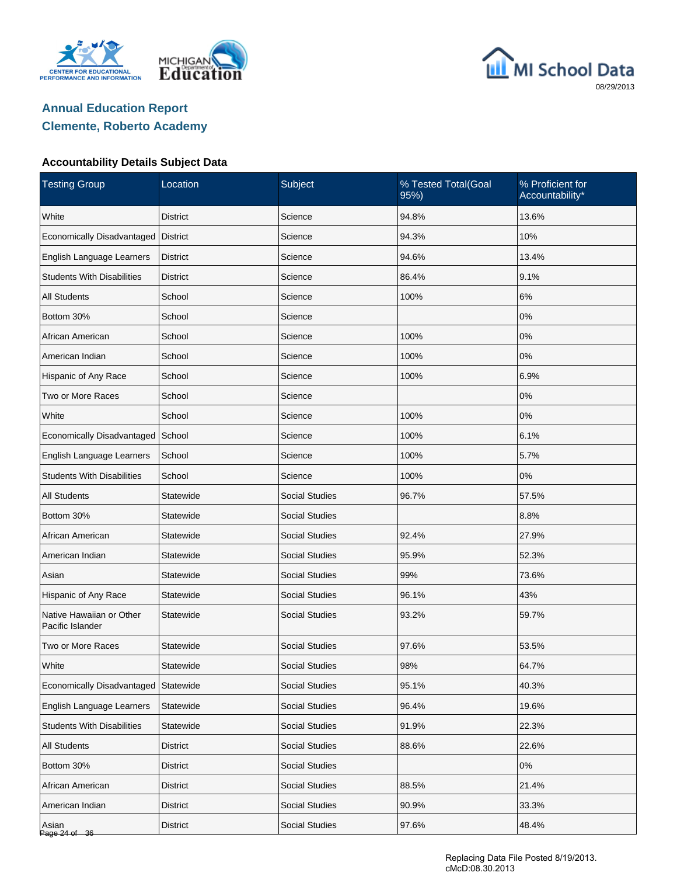





| <b>Testing Group</b>                         | Location        | Subject               | % Tested Total(Goal<br>95%) | % Proficient for<br>Accountability* |
|----------------------------------------------|-----------------|-----------------------|-----------------------------|-------------------------------------|
| White                                        | <b>District</b> | Science               | 94.8%                       | 13.6%                               |
| Economically Disadvantaged                   | <b>District</b> | Science               | 94.3%                       | 10%                                 |
| English Language Learners                    | <b>District</b> | Science               | 94.6%                       | 13.4%                               |
| <b>Students With Disabilities</b>            | <b>District</b> | Science               | 86.4%                       | 9.1%                                |
| <b>All Students</b>                          | School          | Science               | 100%                        | 6%                                  |
| Bottom 30%                                   | School          | Science               |                             | 0%                                  |
| African American                             | School          | Science               | 100%                        | 0%                                  |
| American Indian                              | School          | Science               | 100%                        | 0%                                  |
| Hispanic of Any Race                         | School          | Science               | 100%                        | 6.9%                                |
| Two or More Races                            | School          | Science               |                             | 0%                                  |
| White                                        | School          | Science               | 100%                        | 0%                                  |
| Economically Disadvantaged                   | School          | Science               | 100%                        | 6.1%                                |
| English Language Learners                    | School          | Science               | 100%                        | 5.7%                                |
| <b>Students With Disabilities</b>            | School          | Science               | 100%                        | 0%                                  |
| <b>All Students</b>                          | Statewide       | <b>Social Studies</b> | 96.7%                       | 57.5%                               |
| Bottom 30%                                   | Statewide       | <b>Social Studies</b> |                             | 8.8%                                |
| African American                             | Statewide       | <b>Social Studies</b> | 92.4%                       | 27.9%                               |
| American Indian                              | Statewide       | <b>Social Studies</b> | 95.9%                       | 52.3%                               |
| Asian                                        | Statewide       | <b>Social Studies</b> | 99%                         | 73.6%                               |
| Hispanic of Any Race                         | Statewide       | <b>Social Studies</b> | 96.1%                       | 43%                                 |
| Native Hawaiian or Other<br>Pacific Islander | Statewide       | <b>Social Studies</b> | 93.2%                       | 59.7%                               |
| Two or More Races                            | Statewide       | <b>Social Studies</b> | 97.6%                       | 53.5%                               |
| White                                        | Statewide       | <b>Social Studies</b> | 98%                         | 64.7%                               |
| Economically Disadvantaged                   | Statewide       | <b>Social Studies</b> | 95.1%                       | 40.3%                               |
| English Language Learners                    | Statewide       | <b>Social Studies</b> | 96.4%                       | 19.6%                               |
| <b>Students With Disabilities</b>            | Statewide       | Social Studies        | 91.9%                       | 22.3%                               |
| <b>All Students</b>                          | District        | <b>Social Studies</b> | 88.6%                       | 22.6%                               |
| Bottom 30%                                   | <b>District</b> | Social Studies        |                             | 0%                                  |
| African American                             | <b>District</b> | <b>Social Studies</b> | 88.5%                       | 21.4%                               |
| American Indian                              | <b>District</b> | Social Studies        | 90.9%                       | 33.3%                               |
| Asian<br>Page 24 of 36                       | <b>District</b> | Social Studies        | 97.6%                       | 48.4%                               |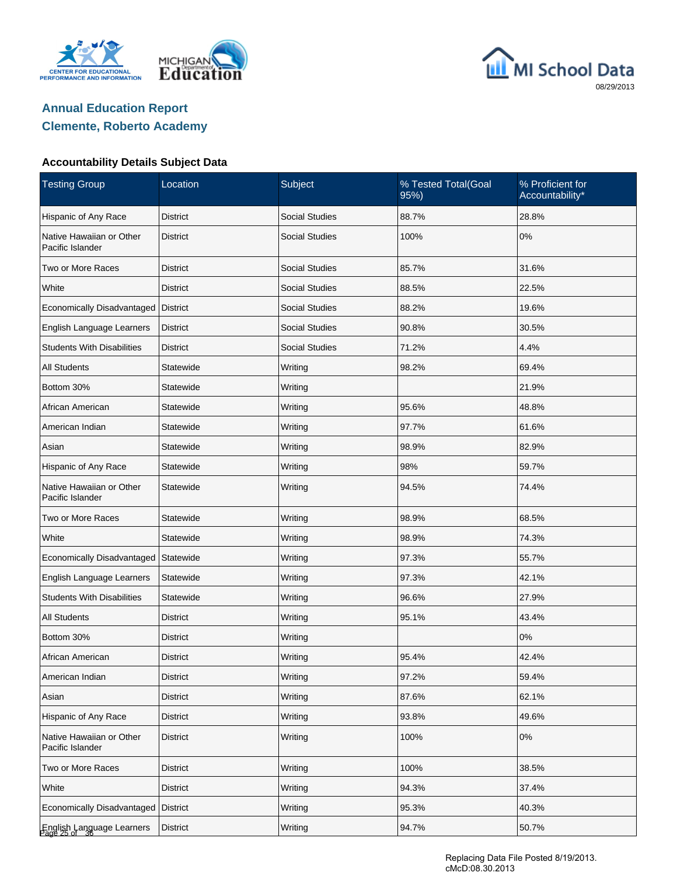





| <b>Testing Group</b>                         | Location        | Subject               | % Tested Total(Goal<br>95%) | % Proficient for<br>Accountability* |
|----------------------------------------------|-----------------|-----------------------|-----------------------------|-------------------------------------|
| Hispanic of Any Race                         | <b>District</b> | <b>Social Studies</b> | 88.7%                       | 28.8%                               |
| Native Hawaiian or Other<br>Pacific Islander | <b>District</b> | <b>Social Studies</b> | 100%                        | 0%                                  |
| Two or More Races                            | District        | <b>Social Studies</b> | 85.7%                       | 31.6%                               |
| White                                        | District        | <b>Social Studies</b> | 88.5%                       | 22.5%                               |
| Economically Disadvantaged                   | <b>District</b> | <b>Social Studies</b> | 88.2%                       | 19.6%                               |
| English Language Learners                    | District        | <b>Social Studies</b> | 90.8%                       | 30.5%                               |
| <b>Students With Disabilities</b>            | District        | <b>Social Studies</b> | 71.2%                       | 4.4%                                |
| All Students                                 | Statewide       | Writing               | 98.2%                       | 69.4%                               |
| Bottom 30%                                   | Statewide       | Writing               |                             | 21.9%                               |
| African American                             | Statewide       | Writing               | 95.6%                       | 48.8%                               |
| American Indian                              | Statewide       | Writing               | 97.7%                       | 61.6%                               |
| Asian                                        | Statewide       | Writing               | 98.9%                       | 82.9%                               |
| Hispanic of Any Race                         | Statewide       | Writing               | 98%                         | 59.7%                               |
| Native Hawaiian or Other<br>Pacific Islander | Statewide       | Writing               | 94.5%                       | 74.4%                               |
| Two or More Races                            | Statewide       | Writing               | 98.9%                       | 68.5%                               |
| White                                        | Statewide       | Writing               | 98.9%                       | 74.3%                               |
| Economically Disadvantaged                   | Statewide       | Writing               | 97.3%                       | 55.7%                               |
| English Language Learners                    | Statewide       | Writing               | 97.3%                       | 42.1%                               |
| <b>Students With Disabilities</b>            | Statewide       | Writing               | 96.6%                       | 27.9%                               |
| <b>All Students</b>                          | District        | Writing               | 95.1%                       | 43.4%                               |
| Bottom 30%                                   | <b>District</b> | Writing               |                             | $0\%$                               |
| African American                             | <b>District</b> | Writing               | 95.4%                       | 42.4%                               |
| American Indian                              | <b>District</b> | Writing               | 97.2%                       | 59.4%                               |
| Asian                                        | <b>District</b> | Writing               | 87.6%                       | 62.1%                               |
| Hispanic of Any Race                         | District        | Writing               | 93.8%                       | 49.6%                               |
| Native Hawaiian or Other<br>Pacific Islander | <b>District</b> | Writing               | 100%                        | 0%                                  |
| Two or More Races                            | <b>District</b> | Writing               | 100%                        | 38.5%                               |
| White                                        | <b>District</b> | Writing               | 94.3%                       | 37.4%                               |
| Economically Disadvantaged                   | <b>District</b> | Writing               | 95.3%                       | 40.3%                               |
| English Language Learners                    | District        | Writing               | 94.7%                       | 50.7%                               |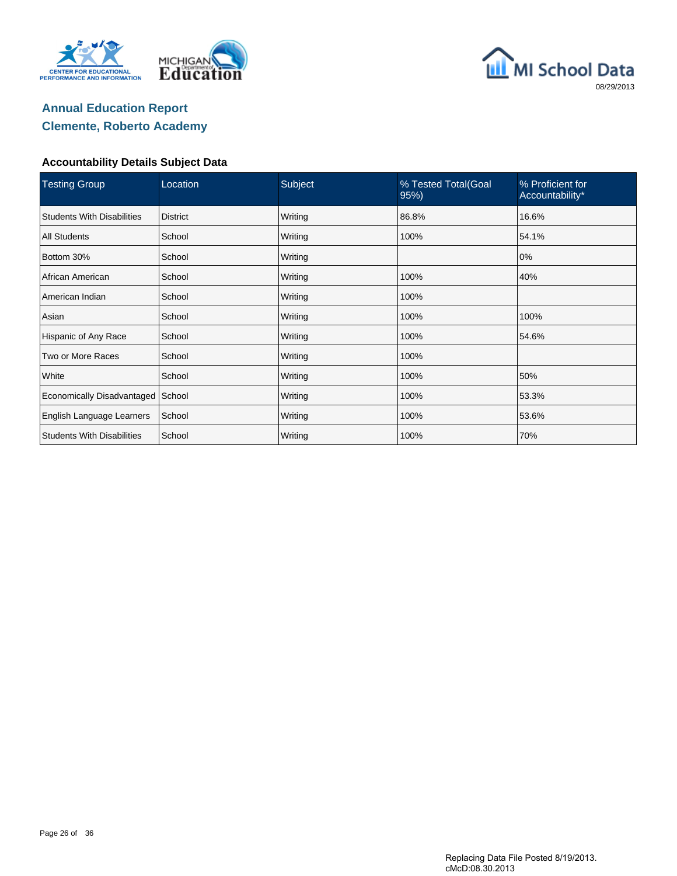





| <b>Testing Group</b>              | Location        | Subject | % Tested Total(Goal<br>95% | % Proficient for<br>Accountability* |
|-----------------------------------|-----------------|---------|----------------------------|-------------------------------------|
| <b>Students With Disabilities</b> | <b>District</b> | Writing | 86.8%                      | 16.6%                               |
| <b>All Students</b>               | School          | Writing | 100%                       | 54.1%                               |
| Bottom 30%                        | School          | Writing |                            | 0%                                  |
| African American                  | School          | Writing | 100%                       | 40%                                 |
| American Indian                   | School          | Writing | 100%                       |                                     |
| Asian                             | School          | Writing | 100%                       | 100%                                |
| Hispanic of Any Race              | School          | Writing | 100%                       | 54.6%                               |
| Two or More Races                 | School          | Writing | 100%                       |                                     |
| White                             | School          | Writing | 100%                       | 50%                                 |
| Economically Disadvantaged        | School          | Writing | 100%                       | 53.3%                               |
| English Language Learners         | School          | Writing | 100%                       | 53.6%                               |
| <b>Students With Disabilities</b> | School          | Writing | 100%                       | 70%                                 |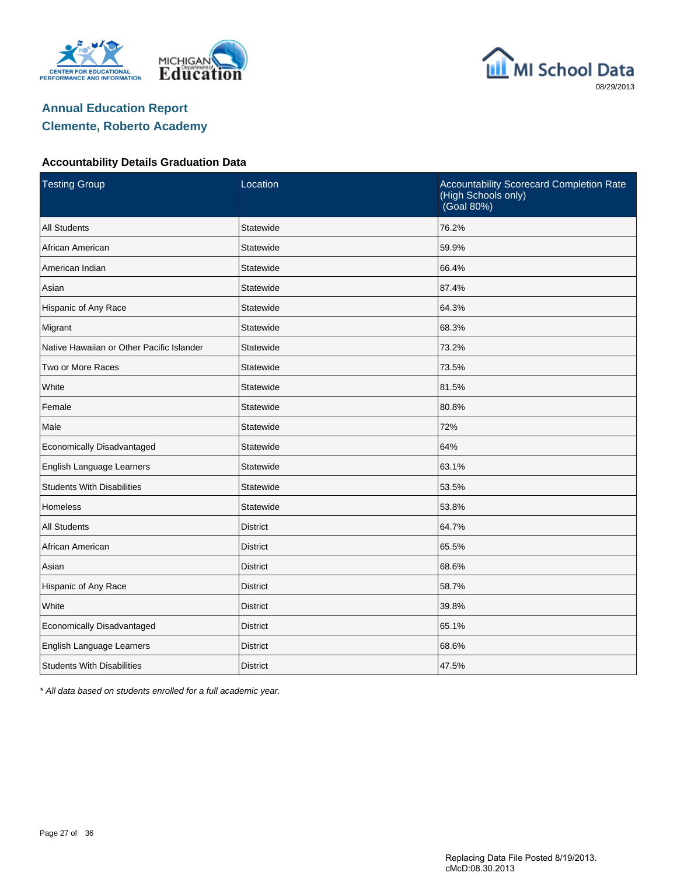





#### **Accountability Details Graduation Data**

| <b>Testing Group</b>                      | Location        | Accountability Scorecard Completion Rate<br>(High Schools only)<br>(Goal 80%) |
|-------------------------------------------|-----------------|-------------------------------------------------------------------------------|
| <b>All Students</b>                       | Statewide       | 76.2%                                                                         |
| African American                          | Statewide       | 59.9%                                                                         |
| American Indian                           | Statewide       | 66.4%                                                                         |
| Asian                                     | Statewide       | 87.4%                                                                         |
| Hispanic of Any Race                      | Statewide       | 64.3%                                                                         |
| Migrant                                   | Statewide       | 68.3%                                                                         |
| Native Hawaiian or Other Pacific Islander | Statewide       | 73.2%                                                                         |
| Two or More Races                         | Statewide       | 73.5%                                                                         |
| White                                     | Statewide       | 81.5%                                                                         |
| Female                                    | Statewide       | 80.8%                                                                         |
| Male                                      | Statewide       | 72%                                                                           |
| Economically Disadvantaged                | Statewide       | 64%                                                                           |
| English Language Learners                 | Statewide       | 63.1%                                                                         |
| <b>Students With Disabilities</b>         | Statewide       | 53.5%                                                                         |
| <b>Homeless</b>                           | Statewide       | 53.8%                                                                         |
| <b>All Students</b>                       | <b>District</b> | 64.7%                                                                         |
| African American                          | <b>District</b> | 65.5%                                                                         |
| Asian                                     | <b>District</b> | 68.6%                                                                         |
| Hispanic of Any Race                      | <b>District</b> | 58.7%                                                                         |
| White                                     | <b>District</b> | 39.8%                                                                         |
| Economically Disadvantaged                | <b>District</b> | 65.1%                                                                         |
| English Language Learners                 | <b>District</b> | 68.6%                                                                         |
| <b>Students With Disabilities</b>         | <b>District</b> | 47.5%                                                                         |

\* All data based on students enrolled for a full academic year.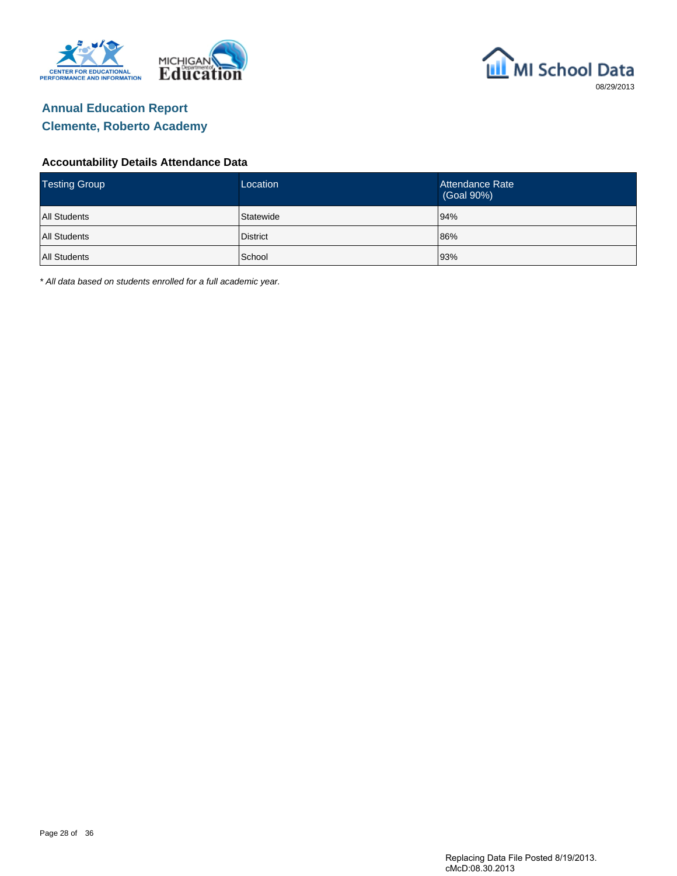



#### **Accountability Details Attendance Data**

| <b>Testing Group</b> | Location  | Attendance Rate<br>(Goal 90%) |
|----------------------|-----------|-------------------------------|
| <b>All Students</b>  | Statewide | 94%                           |
| <b>All Students</b>  | District  | 86%                           |
| <b>All Students</b>  | School    | 93%                           |

\* All data based on students enrolled for a full academic year.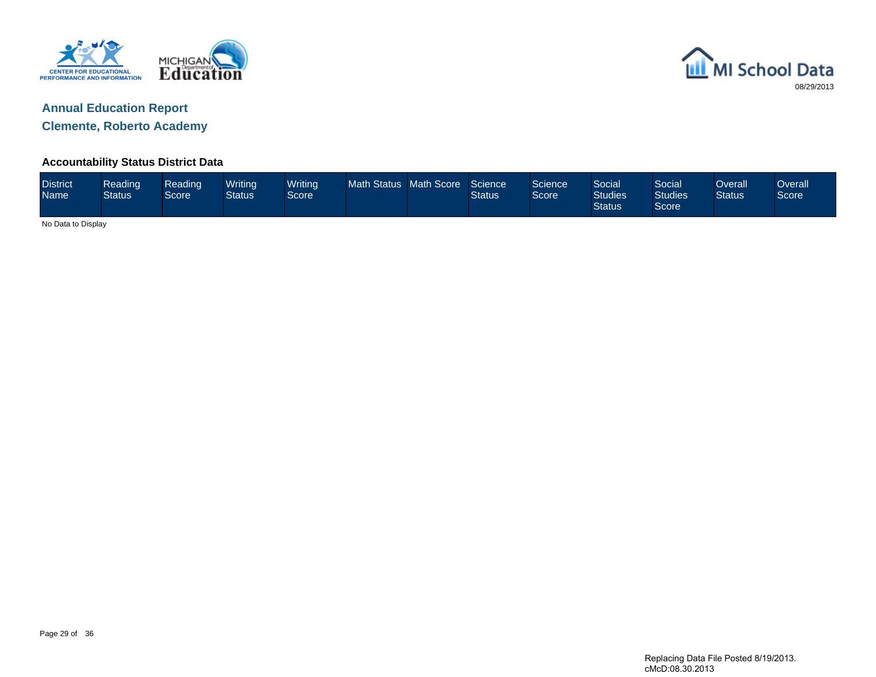



**Clemente, Roberto Academy**

#### **Accountability Status District Data**

| <b>District</b><br><b>Name</b> | Reading<br><b>Status</b> | Reading<br><b>Score</b> | Writina<br>Status | Writing<br>Score <sup>1</sup> | <b>Math Status</b> | Math Score | Science<br><b>Status</b> | Science<br>Score | <b>Social</b><br><b>Studies</b><br><b>Status</b> | Social<br><b>Studies</b><br>Score | )verall<br><b>Status</b> | <b>Overall</b><br>Score |
|--------------------------------|--------------------------|-------------------------|-------------------|-------------------------------|--------------------|------------|--------------------------|------------------|--------------------------------------------------|-----------------------------------|--------------------------|-------------------------|
| No Data to Display             |                          |                         |                   |                               |                    |            |                          |                  |                                                  |                                   |                          |                         |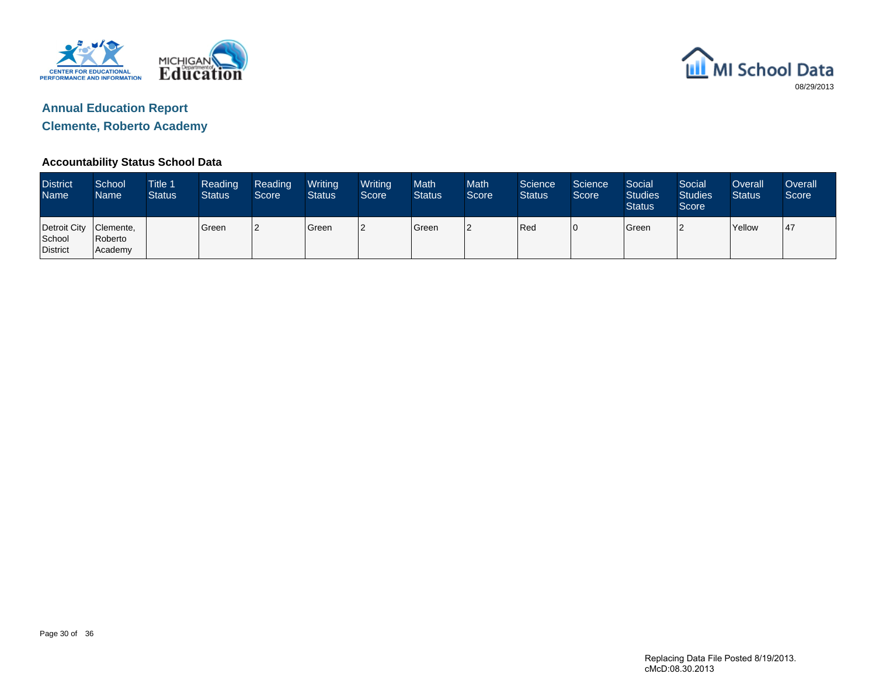



**Clemente, Roberto Academy**

### **Accountability Status School Data**

| <b>District</b><br><b>Name</b>               | School<br>Name     | <b>Title 1</b><br><b>Status</b> | Reading<br><b>Status</b> | Reading<br>Score | Writing<br><b>Status</b> | Writing<br>Score | <b>Math</b><br><b>Status</b> | <b>Math</b><br>Score <sup>1</sup> | Science<br><b>Status</b> | Science<br>Score | Social<br><b>Studies</b><br><b>Status</b> | Social<br><b>Studies</b><br>Score | Overall<br><b>Status</b> | Overall<br>Score |
|----------------------------------------------|--------------------|---------------------------------|--------------------------|------------------|--------------------------|------------------|------------------------------|-----------------------------------|--------------------------|------------------|-------------------------------------------|-----------------------------------|--------------------------|------------------|
| Detroit City Clemente,<br>School<br>District | Roberto<br>Academy |                                 | Green                    | 12               | <b>Green</b>             | 2                | Green                        |                                   | Red                      | 10               | <b>S</b> reen                             | ◠                                 | Yellow                   | l 47             |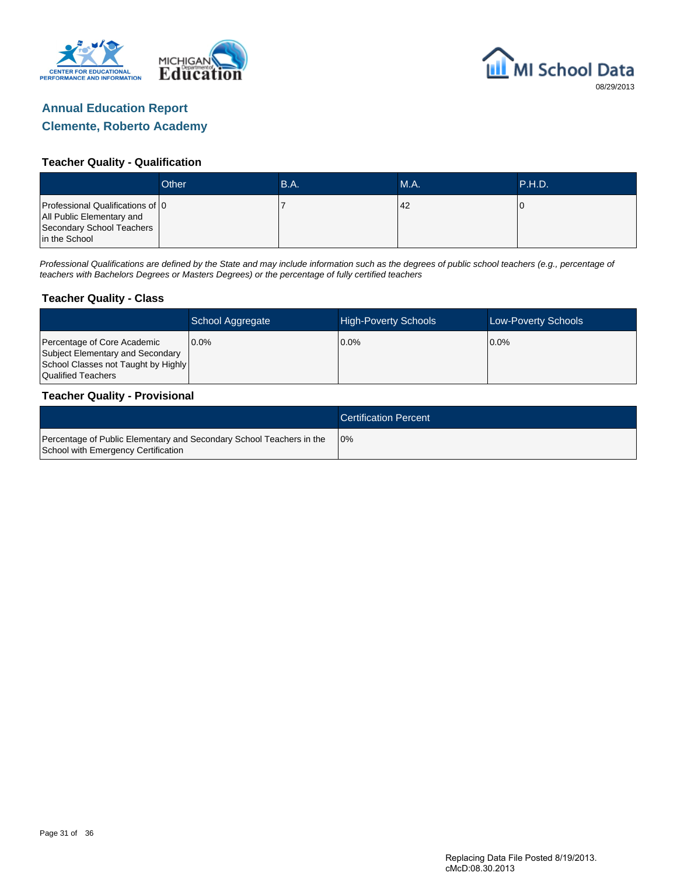



#### **Teacher Quality - Qualification**

|                                                                                                             | Other | B.A. | MA. | <b>P.H.D.</b> |
|-------------------------------------------------------------------------------------------------------------|-------|------|-----|---------------|
| Professional Qualifications of 0<br>All Public Elementary and<br>Secondary School Teachers<br>in the School |       |      | 42  |               |

Professional Qualifications are defined by the State and may include information such as the degrees of public school teachers (e.g., percentage of teachers with Bachelors Degrees or Masters Degrees) or the percentage of fully certified teachers

#### **Teacher Quality - Class**

|                                                                                                                              | School Aggregate | <b>High-Poverty Schools</b> | Low-Poverty Schools |
|------------------------------------------------------------------------------------------------------------------------------|------------------|-----------------------------|---------------------|
| Percentage of Core Academic<br>Subject Elementary and Secondary<br>School Classes not Taught by Highly<br>Qualified Teachers | $0.0\%$          | $0.0\%$                     | $0.0\%$             |

#### **Teacher Quality - Provisional**

|                                                                                                             | <b>Certification Percent</b> |
|-------------------------------------------------------------------------------------------------------------|------------------------------|
| Percentage of Public Elementary and Secondary School Teachers in the<br>School with Emergency Certification | 10%                          |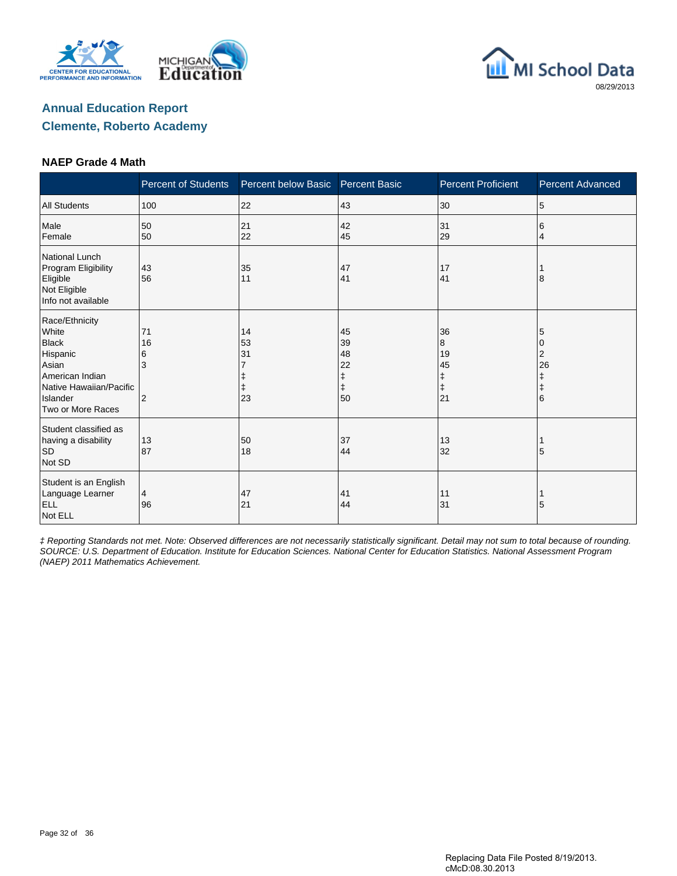





#### **NAEP Grade 4 Math**

|                                                                                                                                             | <b>Percent of Students</b> | Percent below Basic  | <b>Percent Basic</b>                          | <b>Percent Proficient</b>                    | <b>Percent Advanced</b>              |
|---------------------------------------------------------------------------------------------------------------------------------------------|----------------------------|----------------------|-----------------------------------------------|----------------------------------------------|--------------------------------------|
| <b>All Students</b>                                                                                                                         | 100                        | 22                   | 43                                            | 30                                           | 5                                    |
| Male<br>Female                                                                                                                              | 50<br>50                   | 21<br>22             | 42<br>45                                      | 31<br>29                                     | 6<br>4                               |
| <b>National Lunch</b><br>Program Eligibility<br>Eligible<br>Not Eligible<br>Info not available                                              | 43<br>56                   | 35<br>11             | 47<br>41                                      | 17<br>41                                     | 8                                    |
| Race/Ethnicity<br>White<br><b>Black</b><br>Hispanic<br>Asian<br>American Indian<br>Native Hawaiian/Pacific<br>Islander<br>Two or More Races | 71<br>16<br>6<br>3<br>2    | 14<br>53<br>31<br>23 | 45<br>39<br>48<br>22<br>ŧ<br>$\ddagger$<br>50 | 36<br>8<br>19<br>45<br>ŧ<br>$\ddagger$<br>21 | 5<br>2<br>26<br>ŧ<br>$\ddagger$<br>6 |
| Student classified as<br>having a disability<br><b>SD</b><br>Not SD                                                                         | 13<br>87                   | 50<br>18             | 37<br>44                                      | 13<br>32                                     | 5                                    |
| Student is an English<br>Language Learner<br><b>ELL</b><br>Not ELL                                                                          | 4<br>96                    | 47<br>21             | 41<br>44                                      | 11<br>31                                     | 5                                    |

‡ Reporting Standards not met. Note: Observed differences are not necessarily statistically significant. Detail may not sum to total because of rounding. SOURCE: U.S. Department of Education. Institute for Education Sciences. National Center for Education Statistics. National Assessment Program (NAEP) 2011 Mathematics Achievement.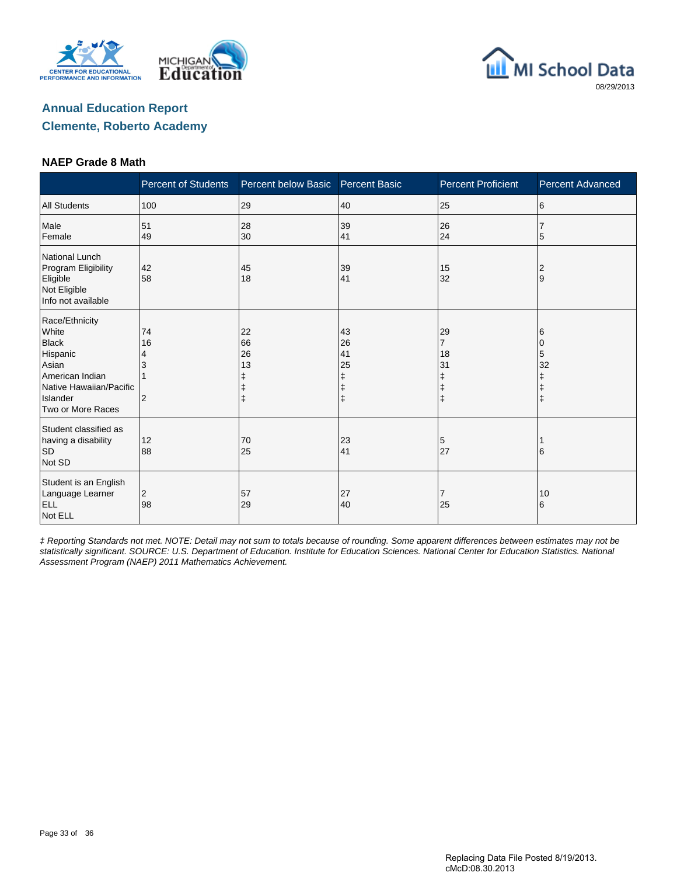





#### **NAEP Grade 8 Math**

|                                                                                                                                             | <b>Percent of Students</b> | Percent below Basic       | <b>Percent Basic</b>           | <b>Percent Proficient</b>                                         | <b>Percent Advanced</b>         |
|---------------------------------------------------------------------------------------------------------------------------------------------|----------------------------|---------------------------|--------------------------------|-------------------------------------------------------------------|---------------------------------|
| <b>All Students</b>                                                                                                                         | 100                        | 29                        | 40                             | 25                                                                | 6                               |
| Male<br>Female                                                                                                                              | 51<br>49                   | 28<br>30                  | 39<br>41                       | 26<br>24                                                          | 7<br>5                          |
| <b>National Lunch</b><br>Program Eligibility<br>Eligible<br>Not Eligible<br>Info not available                                              | 42<br>58                   | 45<br>18                  | 39<br>41                       | 15<br>32                                                          | 2<br>9                          |
| Race/Ethnicity<br>White<br><b>Black</b><br>Hispanic<br>Asian<br>American Indian<br>Native Hawaiian/Pacific<br>Islander<br>Two or More Races | 74<br>16<br>4<br>2         | 22<br>66<br>26<br>13<br>ŧ | 43<br>26<br>41<br>25<br>ŧ<br>ŧ | 29<br>$\overline{7}$<br>18<br>31<br>ŧ<br>$\ddagger$<br>$\ddagger$ | 6<br>0<br>5<br>32<br>$\ddagger$ |
| Student classified as<br>having a disability<br>$\mathsf{SD}$<br>Not SD                                                                     | 12<br>88                   | 70<br>25                  | 23<br>41                       | 5<br>27                                                           | 6                               |
| Student is an English<br>Language Learner<br><b>ELL</b><br>Not ELL                                                                          | 2<br>98                    | 57<br>29                  | 27<br>40                       | 7<br>25                                                           | 10<br>6                         |

‡ Reporting Standards not met. NOTE: Detail may not sum to totals because of rounding. Some apparent differences between estimates may not be statistically significant. SOURCE: U.S. Department of Education. Institute for Education Sciences. National Center for Education Statistics. National Assessment Program (NAEP) 2011 Mathematics Achievement.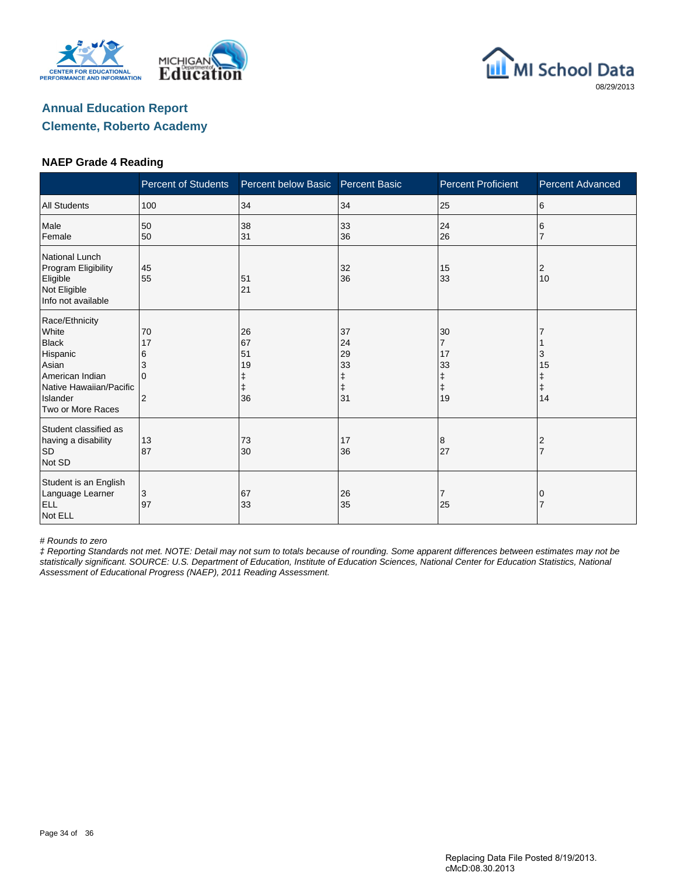





#### **NAEP Grade 4 Reading**

|                                                                                                                                             | <b>Percent of Students</b>                           | Percent below Basic        | <b>Percent Basic</b>                 | <b>Percent Proficient</b>                                 | <b>Percent Advanced</b>          |
|---------------------------------------------------------------------------------------------------------------------------------------------|------------------------------------------------------|----------------------------|--------------------------------------|-----------------------------------------------------------|----------------------------------|
| <b>All Students</b>                                                                                                                         | 100                                                  | 34                         | 34                                   | 25                                                        | 6                                |
| Male<br>Female                                                                                                                              | 50<br>50                                             | 38<br>31                   | 33<br>36                             | 24<br>26                                                  | 6                                |
| <b>National Lunch</b><br>Program Eligibility<br>Eligible<br>Not Eligible<br>Info not available                                              | 45<br>55                                             | 51<br>21                   | 32<br>36                             | 15<br>33                                                  | 2<br>10                          |
| Race/Ethnicity<br>White<br><b>Black</b><br>Hispanic<br>Asian<br>American Indian<br>Native Hawaiian/Pacific<br>Islander<br>Two or More Races | 70<br>17<br>6<br>3<br><sup>0</sup><br>$\overline{2}$ | 26<br>67<br>51<br>19<br>36 | 37<br>24<br>29<br>33<br>ŧ<br>ŧ<br>31 | 30<br>$\overline{7}$<br>17<br>33<br>ŧ<br>$\ddagger$<br>19 | 3<br>15<br>Ŧ<br>$\ddagger$<br>14 |
| Student classified as<br>having a disability<br><b>SD</b><br>Not SD                                                                         | 13<br>87                                             | 73<br>30                   | 17<br>36                             | 8<br>27                                                   | 2<br>$\overline{7}$              |
| Student is an English<br>Language Learner<br><b>ELL</b><br>Not ELL                                                                          | 3<br>97                                              | 67<br>33                   | 26<br>35                             | 7<br>25                                                   | 0                                |

# Rounds to zero

‡ Reporting Standards not met. NOTE: Detail may not sum to totals because of rounding. Some apparent differences between estimates may not be statistically significant. SOURCE: U.S. Department of Education, Institute of Education Sciences, National Center for Education Statistics, National Assessment of Educational Progress (NAEP), 2011 Reading Assessment.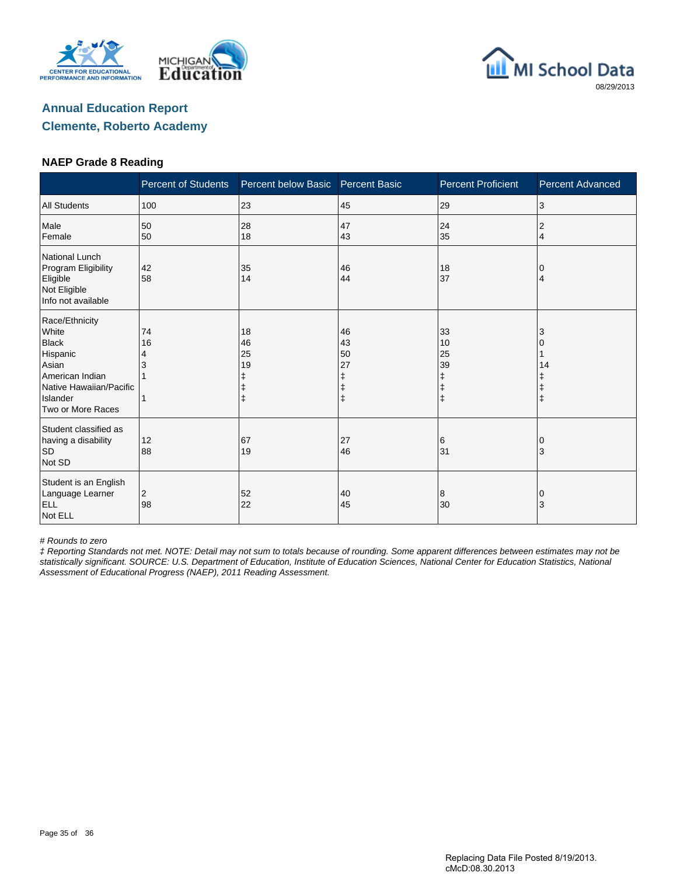





#### **NAEP Grade 8 Reading**

|                                                                                                                                             | <b>Percent of Students</b> | Percent below Basic       | <b>Percent Basic</b>                                  | <b>Percent Proficient</b>                             | <b>Percent Advanced</b> |
|---------------------------------------------------------------------------------------------------------------------------------------------|----------------------------|---------------------------|-------------------------------------------------------|-------------------------------------------------------|-------------------------|
| <b>All Students</b>                                                                                                                         | 100                        | 23                        | 45                                                    | 29                                                    | 3                       |
| Male<br>Female                                                                                                                              | 50<br>50                   | 28<br>18                  | 47<br>43                                              | 24<br>35                                              | 2<br>4                  |
| National Lunch<br>Program Eligibility<br>Eligible<br>Not Eligible<br>Info not available                                                     | 42<br>58                   | 35<br>14                  | 46<br>44                                              | 18<br>37                                              | 0<br>4                  |
| Race/Ethnicity<br>White<br><b>Black</b><br>Hispanic<br>Asian<br>American Indian<br>Native Hawaiian/Pacific<br>Islander<br>Two or More Races | 74<br>16<br>4              | 18<br>46<br>25<br>19<br>ŧ | 46<br>43<br>50<br>27<br>ŧ<br>$\ddagger$<br>$\ddagger$ | 33<br>10<br>25<br>39<br>ŧ<br>$\ddagger$<br>$\ddagger$ | 3<br>14<br>$\ddagger$   |
| Student classified as<br>having a disability<br><b>SD</b><br>Not SD                                                                         | 12<br>88                   | 67<br>19                  | 27<br>46                                              | 6<br>31                                               | 0<br>3                  |
| Student is an English<br>Language Learner<br><b>ELL</b><br>Not ELL                                                                          | 2<br>98                    | 52<br>22                  | 40<br>45                                              | 8<br>30                                               | 0<br>3                  |

# Rounds to zero

‡ Reporting Standards not met. NOTE: Detail may not sum to totals because of rounding. Some apparent differences between estimates may not be statistically significant. SOURCE: U.S. Department of Education, Institute of Education Sciences, National Center for Education Statistics, National Assessment of Educational Progress (NAEP), 2011 Reading Assessment.